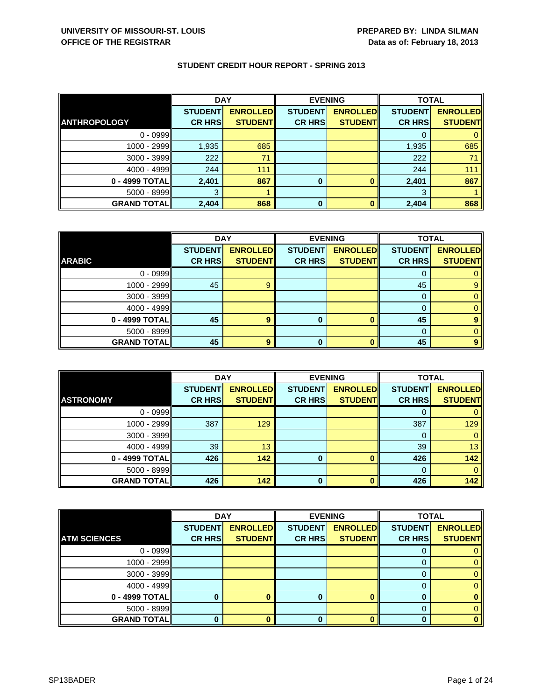|  |  |  | <b>STUDENT CREDIT HOUR REPORT - SPRING 2013</b> |  |  |
|--|--|--|-------------------------------------------------|--|--|
|--|--|--|-------------------------------------------------|--|--|

|                     | <b>DAY</b>     |                 | <b>EVENING</b> |                 | <b>TOTAL</b>   |                 |
|---------------------|----------------|-----------------|----------------|-----------------|----------------|-----------------|
|                     | <b>STUDENT</b> | <b>ENROLLED</b> | <b>STUDENT</b> | <b>ENROLLED</b> | <b>STUDENT</b> | <b>ENROLLED</b> |
| <b>ANTHROPOLOGY</b> | <b>CR HRS</b>  | <b>STUDENTI</b> | <b>CR HRS</b>  | <b>STUDENTI</b> | <b>CR HRS</b>  | <b>STUDENT</b>  |
| $0 - 0999$          |                |                 |                |                 |                |                 |
| $1000 - 2999$       | 1,935          | 685             |                |                 | 1,935          | 685             |
| $3000 - 3999$       | 222            | 71              |                |                 | 222            | 71              |
| $4000 - 4999$       | 244            | 111             |                |                 | 244            | 111             |
| 0 - 4999 TOTAL      | 2,401          | 867             | 0              |                 | 2,401          | 867             |
| $5000 - 8999$       | 3              |                 |                |                 | 3              |                 |
| <b>GRAND TOTAL</b>  | 2,404          | 868             | 0              |                 | 2,404          | 868             |

|                    | <b>DAY</b>     |                 | <b>EVENING</b> |                 | <b>TOTAL</b>   |                 |
|--------------------|----------------|-----------------|----------------|-----------------|----------------|-----------------|
|                    | <b>STUDENT</b> | <b>ENROLLED</b> | <b>STUDENT</b> | <b>ENROLLED</b> | <b>STUDENT</b> | <b>ENROLLED</b> |
| <b>ARABIC</b>      | <b>CR HRS</b>  | <b>STUDENT</b>  | <b>CR HRS</b>  | <b>STUDENT</b>  | <b>CR HRS</b>  | <b>STUDENT</b>  |
| $0 - 0999$         |                |                 |                |                 |                |                 |
| 1000 - 2999        | 45             | 9               |                |                 | 45             | 9               |
| $3000 - 3999$      |                |                 |                |                 | $\Omega$       |                 |
| $4000 - 4999$      |                |                 |                |                 |                |                 |
| 0 - 4999 TOTAL     | 45             | 9               | o              | ŋ               | 45             |                 |
| $5000 - 8999$      |                |                 |                |                 | 0              |                 |
| <b>GRAND TOTAL</b> | 45             | 9               | 0              |                 | 45             | 9               |

|                    | <b>DAY</b>     |                 | <b>EVENING</b> |                 | <b>TOTAL</b>   |                 |
|--------------------|----------------|-----------------|----------------|-----------------|----------------|-----------------|
| <b>ASTRONOMY</b>   | <b>STUDENT</b> | <b>ENROLLED</b> | <b>STUDENT</b> | <b>ENROLLED</b> | <b>STUDENT</b> | <b>ENROLLED</b> |
|                    | <b>CR HRS</b>  | <b>STUDENT</b>  | <b>CR HRS</b>  | <b>STUDENT</b>  | <b>CR HRS</b>  | <b>STUDENT</b>  |
| $0 - 0999$         |                |                 |                |                 |                |                 |
| 1000 - 2999        | 387            | 129             |                |                 | 387            | 129             |
| 3000 - 3999        |                |                 |                |                 |                |                 |
| $4000 - 4999$      | 39             | 13              |                |                 | 39             | 13              |
| 0 - 4999 TOTAL     | 426            | 142             | 0              |                 | 426            | 142             |
| 5000 - 8999        |                |                 |                |                 |                |                 |
| <b>GRAND TOTAL</b> | 426            | 142             | 0              |                 | 426            | 142             |

|                     | <b>DAY</b>     |                 | <b>EVENING</b> |                 | <b>TOTAL</b>   |                 |
|---------------------|----------------|-----------------|----------------|-----------------|----------------|-----------------|
|                     | <b>STUDENT</b> | <b>ENROLLED</b> | <b>STUDENT</b> | <b>ENROLLED</b> | <b>STUDENT</b> | <b>ENROLLED</b> |
| <b>ATM SCIENCES</b> | <b>CR HRS</b>  | <b>STUDENT</b>  | <b>CR HRS</b>  | <b>STUDENT</b>  | <b>CR HRS</b>  | <b>STUDENT</b>  |
| $0 - 0999$          |                |                 |                |                 |                |                 |
| 1000 - 2999         |                |                 |                |                 |                |                 |
| 3000 - 3999         |                |                 |                |                 |                |                 |
| $4000 - 4999$       |                |                 |                |                 | 0              |                 |
| 0 - 4999 TOTAL      |                |                 | 0              |                 |                |                 |
| 5000 - 8999         |                |                 |                |                 |                |                 |
| <b>GRAND TOTAL</b>  |                |                 | 0              |                 |                |                 |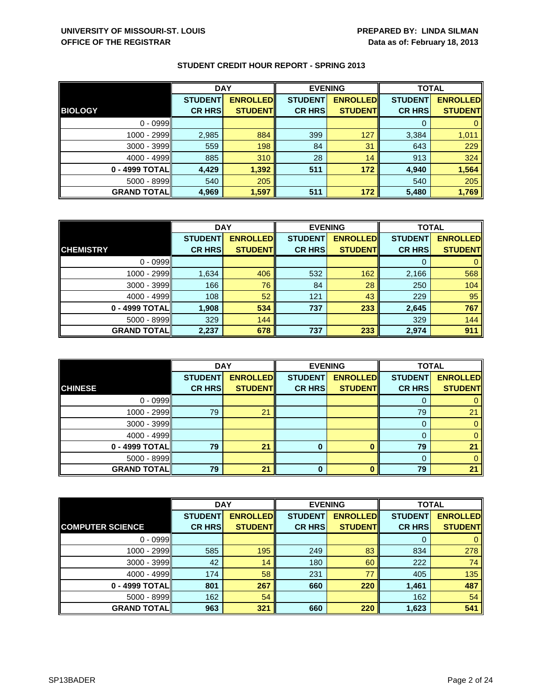|                    | <b>DAY</b>     |                 | <b>EVENING</b> |                 | <b>TOTAL</b>   |                 |
|--------------------|----------------|-----------------|----------------|-----------------|----------------|-----------------|
|                    | <b>STUDENT</b> | <b>ENROLLED</b> | <b>STUDENT</b> | <b>ENROLLED</b> | <b>STUDENT</b> | <b>ENROLLED</b> |
| <b>BIOLOGY</b>     | <b>CR HRS</b>  | <b>STUDENT</b>  | <b>CR HRS</b>  | <b>STUDENT</b>  | <b>CR HRS</b>  | <b>STUDENT</b>  |
| $0 - 0999$         |                |                 |                |                 |                |                 |
| 1000 - 2999II      | 2,985          | 884             | 399            | 127             | 3,384          | 1,011           |
| $3000 - 3999$      | 559            | 198             | 84             | 31              | 643            | 229             |
| $4000 - 4999$      | 885            | 310             | 28             | 14              | 913            | 324             |
| 0 - 4999 TOTAL     | 4,429          | 1,392           | 511            | 172             | 4,940          | 1,564           |
| $5000 - 8999$      | 540            | 205             |                |                 | 540            | 205             |
| <b>GRAND TOTAL</b> | 4,969          | 1,597           | 511            | 172             | 5,480          | 1,769           |

|                    | <b>DAY</b>     |                 | <b>EVENING</b> |                 | <b>TOTAL</b>   |                 |
|--------------------|----------------|-----------------|----------------|-----------------|----------------|-----------------|
|                    | <b>STUDENT</b> | <b>ENROLLED</b> | <b>STUDENT</b> | <b>ENROLLED</b> | <b>STUDENT</b> | <b>ENROLLED</b> |
| <b>CHEMISTRY</b>   | <b>CR HRS</b>  | <b>STUDENT</b>  | <b>CR HRS</b>  | <b>STUDENT</b>  | <b>CR HRS</b>  | <b>STUDENT</b>  |
| $0 - 0999$         |                |                 |                |                 |                |                 |
| 1000 - 2999        | 1,634          | 406             | 532            | 162             | 2,166          | 568             |
| $3000 - 3999$      | 166            | 76              | 84             | 28              | 250            | 104             |
| $4000 - 4999$      | 108            | 52              | 121            | 43              | 229            | 95              |
| 0 - 4999 TOTAL     | 1,908          | 534             | 737            | 233             | 2,645          | 767             |
| $5000 - 8999$      | 329            | 144             |                |                 | 329            | 144             |
| <b>GRAND TOTAL</b> | 2,237          | 678             | 737            | 233             | 2,974          | 911             |

|                    | <b>DAY</b>     |                 |                | <b>EVENING</b>  | <b>TOTAL</b>   |                 |
|--------------------|----------------|-----------------|----------------|-----------------|----------------|-----------------|
|                    | <b>STUDENT</b> | <b>ENROLLED</b> | <b>STUDENT</b> | <b>ENROLLED</b> | <b>STUDENT</b> | <b>ENROLLED</b> |
| <b>CHINESE</b>     | <b>CR HRS</b>  | <b>STUDENT</b>  | <b>CR HRS</b>  | <b>STUDENT</b>  | <b>CR HRS</b>  | <b>STUDENT</b>  |
| $0 - 0999$         |                |                 |                |                 | 0              | 0               |
| $1000 - 2999$      | 79             | 21              |                |                 | 79             | 21              |
| $3000 - 3999$      |                |                 |                |                 | 0              | 0               |
| $4000 - 4999$      |                |                 |                |                 | 0              | 0               |
| 0 - 4999 TOTAL     | 79             | 21              | 0              |                 | 79             | 21              |
| $5000 - 8999$      |                |                 |                |                 | $\Omega$       | 0               |
| <b>GRAND TOTAL</b> | 79             | 21              |                |                 | 79             | 21              |

|                         | <b>DAY</b>     |                 | <b>EVENING</b> |                 | <b>TOTAL</b>   |                 |
|-------------------------|----------------|-----------------|----------------|-----------------|----------------|-----------------|
|                         | <b>STUDENT</b> | <b>ENROLLED</b> | <b>STUDENT</b> | <b>ENROLLED</b> | <b>STUDENT</b> | <b>ENROLLED</b> |
| <b>COMPUTER SCIENCE</b> | <b>CR HRS</b>  | <b>STUDENT</b>  | <b>CR HRS</b>  | <b>STUDENT</b>  | <b>CR HRS</b>  | <b>STUDENT</b>  |
| $0 - 0999$              |                |                 |                |                 | O              | 0               |
| $1000 - 2999$           | 585            | 195             | 249            | 83              | 834            | 278             |
| $3000 - 3999$           | 42             | 14              | 180            | 60              | 222            | 74              |
| $4000 - 4999$           | 174            | 58              | 231            | 77              | 405            | 135             |
| 0 - 4999 TOTAL          | 801            | 267             | 660            | 220             | 1,461          | 487             |
| $5000 - 8999$           | 162            | 54              |                |                 | 162            | 54              |
| <b>GRAND TOTALI</b>     | 963            | 321             | 660            | 220             | 1,623          | 541             |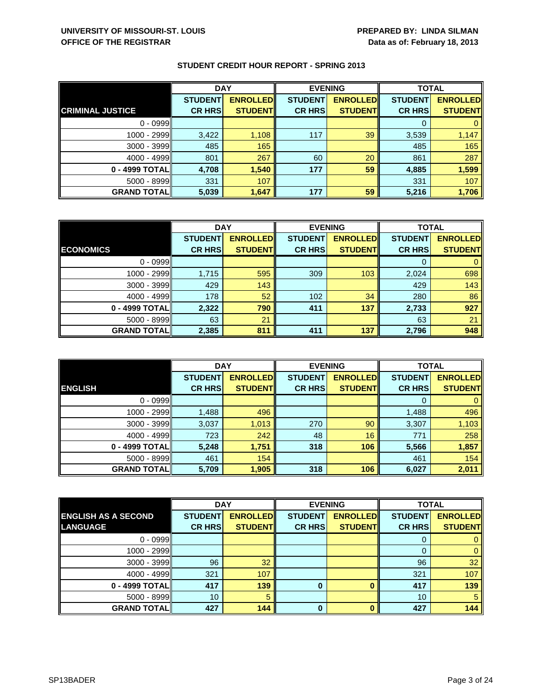|                         | <b>DAY</b>     |                 | <b>EVENING</b> |                 | <b>TOTAL</b>   |                 |
|-------------------------|----------------|-----------------|----------------|-----------------|----------------|-----------------|
|                         | <b>STUDENT</b> | <b>ENROLLED</b> | <b>STUDENT</b> | <b>ENROLLED</b> | <b>STUDENT</b> | <b>ENROLLED</b> |
| <b>CRIMINAL JUSTICE</b> | <b>CR HRS</b>  | <b>STUDENT</b>  | <b>CR HRS</b>  | <b>STUDENT</b>  | <b>CR HRS</b>  | <b>STUDENT</b>  |
| $0 - 0999$              |                |                 |                |                 |                |                 |
| $1000 - 2999$           | 3,422          | 1,108           | 117            | 39              | 3,539          | 1,147           |
| 3000 - 3999             | 485            | 165             |                |                 | 485            | 165             |
| $4000 - 4999$           | 801            | 267             | 60             | 20              | 861            | 287             |
| 0 - 4999 TOTAL          | 4,708          | 1,540           | 177            | 59              | 4,885          | 1,599           |
| $5000 - 8999$           | 331            | 107             |                |                 | 331            | 107             |
| <b>GRAND TOTAL</b>      | 5,039          | 1,647           | 177            | 59              | 5,216          | 1,706           |

|                    | <b>DAY</b>     |                 | <b>EVENING</b> |                 | <b>TOTAL</b>   |                 |
|--------------------|----------------|-----------------|----------------|-----------------|----------------|-----------------|
|                    | <b>STUDENT</b> | <b>ENROLLED</b> | <b>STUDENT</b> | <b>ENROLLED</b> | <b>STUDENT</b> | <b>ENROLLED</b> |
| <b>ECONOMICS</b>   | <b>CR HRS</b>  | <b>STUDENT</b>  | <b>CR HRS</b>  | <b>STUDENT</b>  | <b>CR HRS</b>  | <b>STUDENT</b>  |
| $0 - 0999$         |                |                 |                |                 | 0              | 0               |
| 1000 - 2999        | 1,715          | 595             | 309            | 103             | 2,024          | 698             |
| $3000 - 3999$      | 429            | 143             |                |                 | 429            | 143             |
| $4000 - 4999$      | 178            | 52              | 102            | 34              | 280            | 86              |
| 0 - 4999 TOTAL     | 2,322          | 790             | 411            | 137             | 2,733          | 927             |
| $5000 - 8999$      | 63             | 21              |                |                 | 63             | 21              |
| <b>GRAND TOTAL</b> | 2,385          | 811             | 411            | 137             | 2,796          | 948             |

|                    | <b>DAY</b>                      |                                    |                                 | <b>EVENING</b>                    |                                 | <b>TOTAL</b>                      |
|--------------------|---------------------------------|------------------------------------|---------------------------------|-----------------------------------|---------------------------------|-----------------------------------|
| <b>ENGLISH</b>     | <b>STUDENT</b><br><b>CR HRS</b> | <b>ENROLLED</b><br><b>STUDENTI</b> | <b>STUDENT</b><br><b>CR HRS</b> | <b>ENROLLED</b><br><b>STUDENT</b> | <b>STUDENT</b><br><b>CR HRS</b> | <b>ENROLLED</b><br><b>STUDENT</b> |
|                    |                                 |                                    |                                 |                                   |                                 |                                   |
| $0 - 0999$         |                                 |                                    |                                 |                                   | 0                               | $\mathbf{0}$                      |
| $1000 - 2999$      | 1,488                           | 496                                |                                 |                                   | 1,488                           | 496                               |
| 3000 - 3999        | 3,037                           | 1,013                              | 270                             | 90                                | 3,307                           | 1,103                             |
| $4000 - 4999$      | 723                             | 242                                | 48                              | 16                                | 771                             | 258                               |
| 0 - 4999 TOTAL     | 5,248                           | 1,751                              | 318                             | 106                               | 5,566                           | 1,857                             |
| $5000 - 8999$      | 461                             | 154                                |                                 |                                   | 461                             | 154                               |
| <b>GRAND TOTAL</b> | 5,709                           | 1,905                              | 318                             | 106                               | 6,027                           | 2,011                             |

|                            | <b>DAY</b>     |                 |                | <b>EVENING</b>  | <b>TOTAL</b>   |                 |
|----------------------------|----------------|-----------------|----------------|-----------------|----------------|-----------------|
| <b>ENGLISH AS A SECOND</b> | <b>STUDENT</b> | <b>ENROLLED</b> | <b>STUDENT</b> | <b>ENROLLED</b> | <b>STUDENT</b> | <b>ENROLLED</b> |
| <b>LANGUAGE</b>            | <b>CR HRS</b>  | <b>STUDENT</b>  | <b>CR HRS</b>  | <b>STUDENT</b>  | <b>CR HRS</b>  | <b>STUDENT</b>  |
| $0 - 0999$                 |                |                 |                |                 |                | 0               |
| 1000 - 2999                |                |                 |                |                 | 0              | $\mathbf{0}$    |
| $3000 - 3999$              | 96             | 32              |                |                 | 96             | 32 <sup>°</sup> |
| $4000 - 4999$              | 321            | 107             |                |                 | 321            | 107             |
| 0 - 4999 TOTAL             | 417            | 139             | 0              |                 | 417            | 139             |
| $5000 - 8999$              | 10             | 5               |                |                 | 10             | 5               |
| <b>GRAND TOTAL</b>         | 427            | 144             | $\bf{0}$       |                 | 427            | 144             |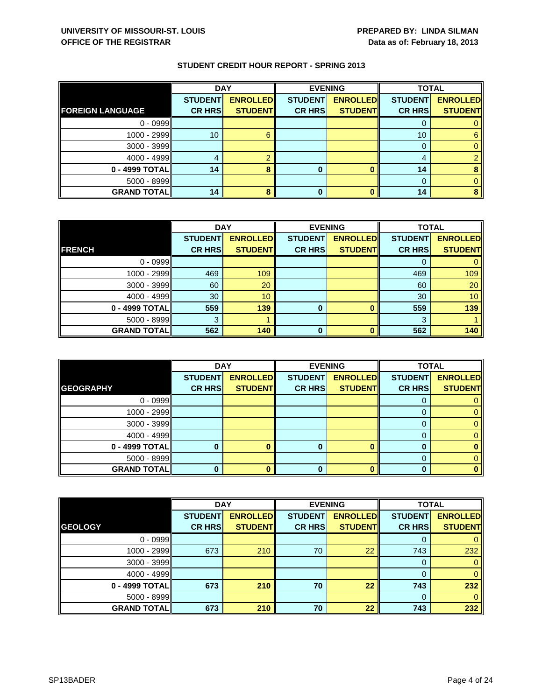|                         | <b>DAY</b>     |                 | <b>EVENING</b> |                 | <b>TOTAL</b>    |                 |
|-------------------------|----------------|-----------------|----------------|-----------------|-----------------|-----------------|
|                         | <b>STUDENT</b> | <b>ENROLLED</b> | <b>STUDENT</b> | <b>ENROLLED</b> | <b>STUDENT</b>  | <b>ENROLLED</b> |
| <b>FOREIGN LANGUAGE</b> | <b>CR HRS</b>  | <b>STUDENT</b>  | <b>CR HRS</b>  | <b>STUDENT</b>  | <b>CR HRS</b>   | <b>STUDENT</b>  |
| $0 - 0999$              |                |                 |                |                 |                 |                 |
| 1000 - 2999             | 10             | 6               |                |                 | 10 <sup>1</sup> | 6               |
| 3000 - 3999             |                |                 |                |                 |                 |                 |
| $4000 - 4999$           |                |                 |                |                 | 4               |                 |
| 0 - 4999 TOTAL          | 14             |                 | 0              |                 | 14              |                 |
| $5000 - 8999$           |                |                 |                |                 | $\Omega$        |                 |
| <b>GRAND TOTAL</b>      | 14             |                 | 0              |                 | 14              |                 |

|                    | <b>DAY</b>     |                 | <b>EVENING</b> |                 | <b>TOTAL</b>   |                 |
|--------------------|----------------|-----------------|----------------|-----------------|----------------|-----------------|
|                    | <b>STUDENT</b> | <b>ENROLLED</b> | <b>STUDENT</b> | <b>ENROLLED</b> | <b>STUDENT</b> | <b>ENROLLED</b> |
| <b>FRENCH</b>      | <b>CR HRS</b>  | <b>STUDENT</b>  | <b>CR HRS</b>  | <b>STUDENT</b>  | <b>CR HRS</b>  | <b>STUDENT</b>  |
| $0 - 0999$         |                |                 |                |                 |                |                 |
| 1000 - 2999        | 469            | 109             |                |                 | 469            | 109             |
| $3000 - 3999$      | 60             | 20              |                |                 | 60             | 20              |
| $4000 - 4999$      | 30             | 10 <sup>°</sup> |                |                 | 30             | 10              |
| 0 - 4999 TOTAL     | 559            | 139             | 0              |                 | 559            | 139             |
| $5000 - 8999$      | 3              |                 |                |                 | 3              |                 |
| <b>GRAND TOTAL</b> | 562            | 140             | $\Omega$       | n               | 562            | 140             |

|                    | <b>DAY</b>                      |                                   | <b>EVENING</b>                  |                                   | <b>TOTAL</b>                    |                                   |
|--------------------|---------------------------------|-----------------------------------|---------------------------------|-----------------------------------|---------------------------------|-----------------------------------|
| <b>GEOGRAPHY</b>   | <b>STUDENT</b><br><b>CR HRS</b> | <b>ENROLLED</b><br><b>STUDENT</b> | <b>STUDENT</b><br><b>CR HRS</b> | <b>ENROLLED</b><br><b>STUDENT</b> | <b>STUDENT</b><br><b>CR HRS</b> | <b>ENROLLED</b><br><b>STUDENT</b> |
| $0 - 0999$         |                                 |                                   |                                 |                                   |                                 |                                   |
|                    |                                 |                                   |                                 |                                   | O                               |                                   |
| 1000 - 2999        |                                 |                                   |                                 |                                   |                                 |                                   |
| $3000 - 3999$      |                                 |                                   |                                 |                                   |                                 |                                   |
| $4000 - 4999$      |                                 |                                   |                                 |                                   | 0                               |                                   |
| 0 - 4999 TOTAL     |                                 |                                   |                                 | ∩                                 |                                 |                                   |
| $5000 - 8999$      |                                 |                                   |                                 |                                   |                                 |                                   |
| <b>GRAND TOTAL</b> |                                 |                                   | 0                               |                                   |                                 |                                   |

|                    | <b>DAY</b>     |                 | <b>EVENING</b> |                 | <b>TOTAL</b>   |                 |
|--------------------|----------------|-----------------|----------------|-----------------|----------------|-----------------|
|                    | <b>STUDENT</b> | <b>ENROLLED</b> | <b>STUDENT</b> | <b>ENROLLED</b> | <b>STUDENT</b> | <b>ENROLLED</b> |
| <b>GEOLOGY</b>     | <b>CR HRS</b>  | <b>STUDENT</b>  | <b>CR HRS</b>  | <b>STUDENT</b>  | <b>CR HRS</b>  | <b>STUDENT</b>  |
| $0 - 0999$         |                |                 |                |                 | 0              | $\mathbf{0}$    |
| 1000 - 2999        | 673            | 210             | 70             | 22              | 743            | 232             |
| $3000 - 3999$      |                |                 |                |                 | 0              | $\mathbf{0}$    |
| $4000 - 4999$      |                |                 |                |                 | 0              | $\mathbf{0}$    |
| 0 - 4999 TOTAL     | 673            | 210             | 70             | 22              | 743            | 232             |
| $5000 - 8999$      |                |                 |                |                 | $\Omega$       | $\mathbf{0}$    |
| <b>GRAND TOTAL</b> | 673            | 210             | 70             | 22              | 743            | 232             |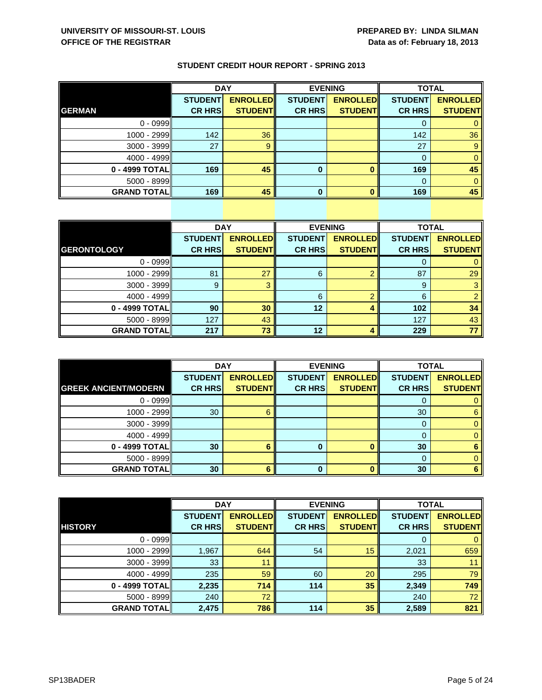| <b>STUDENT CREDIT HOUR REPORT - SPRING 2013</b> |  |  |  |  |
|-------------------------------------------------|--|--|--|--|
|-------------------------------------------------|--|--|--|--|

|                    | <b>DAY</b>     |                 |                | <b>EVENING</b>  |                | <b>TOTAL</b>    |  |
|--------------------|----------------|-----------------|----------------|-----------------|----------------|-----------------|--|
|                    | <b>STUDENT</b> | <b>ENROLLED</b> | <b>STUDENT</b> | <b>ENROLLED</b> | <b>STUDENT</b> | <b>ENROLLED</b> |  |
| <b>GERMAN</b>      | <b>CR HRS</b>  | <b>STUDENT</b>  | <b>CR HRS</b>  | <b>STUDENT</b>  | <b>CR HRS</b>  | <b>STUDENT</b>  |  |
| $0 - 0999$         |                |                 |                |                 |                |                 |  |
| 1000 - 2999        | 142            | 36              |                |                 | 142            | 36              |  |
| 3000 - 3999        | 27             | 9               |                |                 | 27             |                 |  |
| $4000 - 4999$      |                |                 |                |                 |                |                 |  |
| 0 - 4999 TOTAL     | 169            | 45              | 0              |                 | 169            | 45              |  |
| 5000 - 8999        |                |                 |                |                 |                |                 |  |
| <b>GRAND TOTAL</b> | 169            | 45              | U              |                 | 169            | 45              |  |

|                    | <b>DAY</b>     |                 |                | <b>EVENING</b>  | <b>TOTAL</b>   |                 |
|--------------------|----------------|-----------------|----------------|-----------------|----------------|-----------------|
|                    | <b>STUDENT</b> | <b>ENROLLED</b> | <b>STUDENT</b> | <b>ENROLLED</b> | <b>STUDENT</b> | <b>ENROLLED</b> |
| <b>GERONTOLOGY</b> | <b>CR HRS</b>  | <b>STUDENT</b>  | <b>CR HRS</b>  | <b>STUDENT</b>  | <b>CR HRS</b>  | <b>STUDENT</b>  |
| $0 - 0999$         |                |                 |                |                 | 0              |                 |
| 1000 - 2999        | 81             | 27              | 6              | ⌒               | 87             | 29              |
| $3000 - 3999$      | 9              | З               |                |                 | 9              | 3               |
| $4000 - 4999$      |                |                 | 6              | ⌒               | 6              | $\overline{2}$  |
| 0 - 4999 TOTAL     | 90             | 30              | 12             |                 | 102            | 34              |
| $5000 - 8999$      | 127            | 43              |                |                 | 127            | 43              |
| <b>GRAND TOTAL</b> | 217            | 73              | 12             |                 | 229            | 77              |

|                             | <b>DAY</b>     |                 |                | <b>EVENING</b>  |                | <b>TOTAL</b>    |  |
|-----------------------------|----------------|-----------------|----------------|-----------------|----------------|-----------------|--|
|                             | <b>STUDENT</b> | <b>ENROLLED</b> | <b>STUDENT</b> | <b>ENROLLED</b> | <b>STUDENT</b> | <b>ENROLLED</b> |  |
| <b>GREEK ANCIENT/MODERN</b> | <b>CR HRS</b>  | <b>STUDENT</b>  | <b>CR HRS</b>  | <b>STUDENT</b>  | <b>CR HRS</b>  | <b>STUDENT</b>  |  |
| $0 - 0999$                  |                |                 |                |                 | O              |                 |  |
| 1000 - 2999                 | 30             | 6               |                |                 | 30             | 6               |  |
| 3000 - 3999                 |                |                 |                |                 | 0              |                 |  |
| $4000 - 4999$               |                |                 |                |                 |                |                 |  |
| 0 - 4999 TOTAL              | 30             | 6               |                |                 | 30             |                 |  |
| 5000 - 8999                 |                |                 |                |                 |                |                 |  |
| <b>GRAND TOTAL</b>          | 30             | 6               | 0              |                 | 30             |                 |  |

|                    | <b>DAY</b>     |                 | <b>EVENING</b> |                 | <b>TOTAL</b>   |                 |
|--------------------|----------------|-----------------|----------------|-----------------|----------------|-----------------|
|                    | <b>STUDENT</b> | <b>ENROLLED</b> | <b>STUDENT</b> | <b>ENROLLED</b> | <b>STUDENT</b> | <b>ENROLLED</b> |
| <b>HISTORY</b>     | <b>CR HRS</b>  | <b>STUDENT</b>  | <b>CR HRS</b>  | <b>STUDENT</b>  | <b>CR HRS</b>  | <b>STUDENT</b>  |
| $0 - 0999$         |                |                 |                |                 | 0              | $\mathbf{0}$    |
| 1000 - 2999        | 1,967          | 644             | 54             | 15              | 2,021          | 659             |
| 3000 - 3999        | 33             | 11              |                |                 | 33             | 11              |
| $4000 - 4999$      | 235            | 59              | 60             | 20              | 295            | 79              |
| 0 - 4999 TOTAL     | 2,235          | 714             | 114            | 35              | 2,349          | 749             |
| 5000 - 8999        | 240            | 72              |                |                 | 240            | 72 <sub>2</sub> |
| <b>GRAND TOTAL</b> | 2,475          | 786             | 114            | 35              | 2,589          | 821             |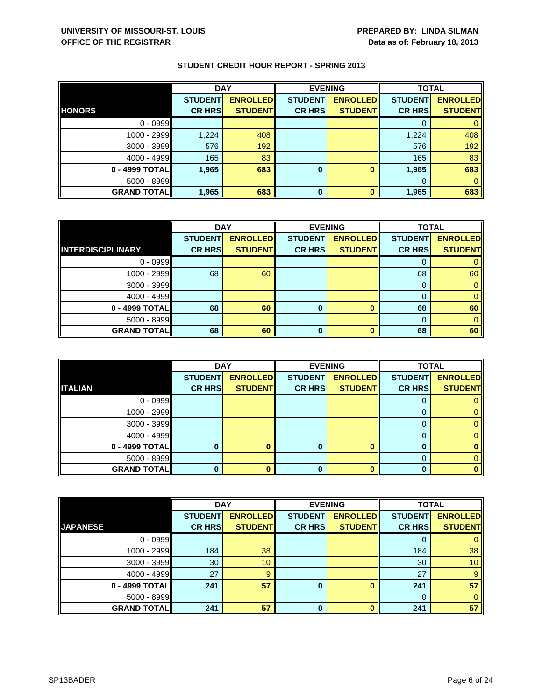|                    | <b>DAY</b>     |                 |                | <b>EVENING</b>  | <b>TOTAL</b>   |                 |
|--------------------|----------------|-----------------|----------------|-----------------|----------------|-----------------|
|                    | <b>STUDENT</b> | <b>ENROLLED</b> | <b>STUDENT</b> | <b>ENROLLED</b> | <b>STUDENT</b> | <b>ENROLLED</b> |
| <b>HONORS</b>      | <b>CR HRS</b>  | <b>STUDENT</b>  | <b>CR HRS</b>  | <b>STUDENT</b>  | <b>CR HRS</b>  | <b>STUDENT</b>  |
| $0 - 0999$         |                |                 |                |                 |                |                 |
| $1000 - 2999$      | 1,224          | 408             |                |                 | 1,224          | 408             |
| $3000 - 3999$      | 576            | 192             |                |                 | 576            | 192             |
| $4000 - 4999$      | 165            | 83              |                |                 | 165            | 83              |
| 0 - 4999 TOTALI    | 1,965          | 683             | 0              |                 | 1,965          | 683             |
| $5000 - 8999$      |                |                 |                |                 | $\Omega$       |                 |
| <b>GRAND TOTAL</b> | 1,965          | 683             | 0              |                 | 1,965          | 683             |

|                          | <b>DAY</b>     |                 |                | <b>EVENING</b>  | <b>TOTAL</b>   |                 |
|--------------------------|----------------|-----------------|----------------|-----------------|----------------|-----------------|
|                          | <b>STUDENT</b> | <b>ENROLLED</b> | <b>STUDENT</b> | <b>ENROLLED</b> | <b>STUDENT</b> | <b>ENROLLED</b> |
| <b>INTERDISCIPLINARY</b> | <b>CR HRS</b>  | <b>STUDENT</b>  | <b>CR HRS</b>  | <b>STUDENT</b>  | <b>CR HRS</b>  | <b>STUDENT</b>  |
| $0 - 0999$               |                |                 |                |                 |                |                 |
| 1000 - 2999              | 68             | 60              |                |                 | 68             | 60              |
| $3000 - 3999$            |                |                 |                |                 |                |                 |
| 4000 - 4999              |                |                 |                |                 |                |                 |
| 0 - 4999 TOTAL           | 68             | 60              | 0              |                 | 68             | 60              |
| $5000 - 8999$            |                |                 |                |                 |                |                 |
| <b>GRAND TOTALI</b>      | 68             | 60              | ŋ              |                 | 68             | 60              |

|                    | <b>DAY</b>     |                 |                | <b>EVENING</b>  | <b>TOTAL</b>   |                 |
|--------------------|----------------|-----------------|----------------|-----------------|----------------|-----------------|
|                    | <b>STUDENT</b> | <b>ENROLLED</b> | <b>STUDENT</b> | <b>ENROLLED</b> | <b>STUDENT</b> | <b>ENROLLED</b> |
| <b>ITALIAN</b>     | <b>CR HRS</b>  | <b>STUDENT</b>  | <b>CR HRS</b>  | <b>STUDENT</b>  | <b>CR HRS</b>  | <b>STUDENT</b>  |
| $0 - 0999$         |                |                 |                |                 | O              |                 |
| 1000 - 2999        |                |                 |                |                 |                |                 |
| $3000 - 3999$      |                |                 |                |                 |                |                 |
| $4000 - 4999$      |                |                 |                |                 | 0              |                 |
| 0 - 4999 TOTAL     |                |                 |                | ∩               |                |                 |
| $5000 - 8999$      |                |                 |                |                 |                |                 |
| <b>GRAND TOTAL</b> |                |                 | 0              |                 | O              |                 |

|                    | <b>DAY</b>     |                 | <b>EVENING</b> |                 | <b>TOTAL</b>   |                 |
|--------------------|----------------|-----------------|----------------|-----------------|----------------|-----------------|
|                    | <b>STUDENT</b> | <b>ENROLLED</b> | <b>STUDENT</b> | <b>ENROLLED</b> | <b>STUDENT</b> | <b>ENROLLED</b> |
| <b>JAPANESE</b>    | <b>CR HRS</b>  | <b>STUDENT</b>  | <b>CR HRS</b>  | <b>STUDENT</b>  | <b>CR HRS</b>  | <b>STUDENT</b>  |
| $0 - 0999$         |                |                 |                |                 | 0              | 0               |
| 1000 - 2999        | 184            | 38              |                |                 | 184            | 38              |
| $3000 - 3999$      | 30             | 10              |                |                 | 30             | 10 <sup>°</sup> |
| $4000 - 4999$      | 27             | 9               |                |                 | 27             | 9               |
| 0 - 4999 TOTAL     | 241            | 57              | 0              |                 | 241            | 57              |
| $5000 - 8999$      |                |                 |                |                 | $\Omega$       | $\mathbf{0}$    |
| <b>GRAND TOTAL</b> | 241            | 57              | $\bf{0}$       | n               | 241            | 57              |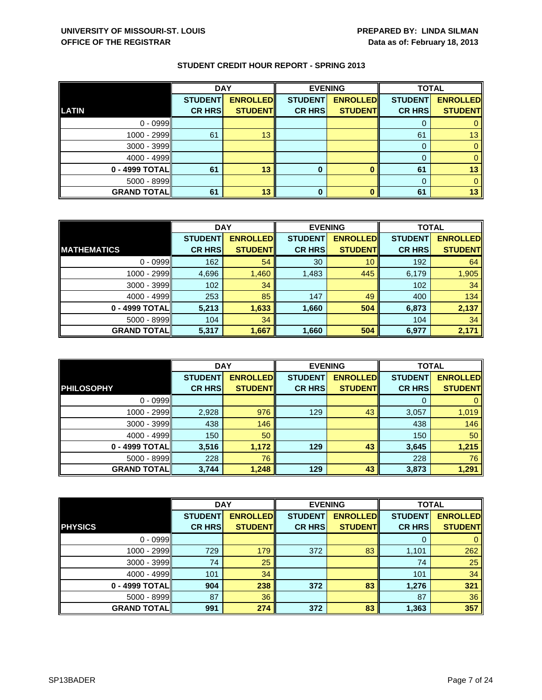|                    | <b>DAY</b>     |                 |                | <b>EVENING</b>  | <b>TOTAL</b>   |                 |
|--------------------|----------------|-----------------|----------------|-----------------|----------------|-----------------|
|                    | <b>STUDENT</b> | <b>ENROLLED</b> | <b>STUDENT</b> | <b>ENROLLED</b> | <b>STUDENT</b> | <b>ENROLLED</b> |
| LATIN              | <b>CR HRS</b>  | <b>STUDENT</b>  | <b>CR HRS</b>  | <b>STUDENT</b>  | <b>CR HRS</b>  | <b>STUDENT</b>  |
| $0 - 0999$         |                |                 |                |                 |                |                 |
| $1000 - 2999$      | 61             | 13              |                |                 | 61             | 13              |
| $3000 - 3999$      |                |                 |                |                 | 0              |                 |
| $4000 - 4999$      |                |                 |                |                 |                |                 |
| 0 - 4999 TOTAL     | 61             | 13              | 0              |                 | 61             | 13              |
| $5000 - 8999$      |                |                 |                |                 |                |                 |
| <b>GRAND TOTAL</b> | 61             | 13              | 0              |                 | 61             | 13              |

|                    | <b>DAY</b>     |                 | <b>EVENING</b> |                 | <b>TOTAL</b>   |                 |
|--------------------|----------------|-----------------|----------------|-----------------|----------------|-----------------|
|                    | <b>STUDENT</b> | <b>ENROLLED</b> | <b>STUDENT</b> | <b>ENROLLED</b> | <b>STUDENT</b> | <b>ENROLLED</b> |
| <b>MATHEMATICS</b> | <b>CR HRS</b>  | <b>STUDENT</b>  | <b>CR HRS</b>  | <b>STUDENT</b>  | <b>CR HRS</b>  | <b>STUDENT</b>  |
| $0 - 0999$         | 162            | 54              | 30             | 10              | 192            | 64              |
| 1000 - 2999        | 4,696          | 1,460           | 1,483          | 445             | 6,179          | 1,905           |
| $3000 - 3999$      | 102            | 34              |                |                 | 102            | 34              |
| $4000 - 4999$      | 253            | 85              | 147            | 49              | 400            | 134             |
| 0 - 4999 TOTAL     | 5,213          | 1,633           | 1,660          | 504             | 6,873          | 2,137           |
| $5000 - 8999$      | 104            | 34              |                |                 | 104            | 34              |
| <b>GRAND TOTAL</b> | 5,317          | 1,667           | 1,660          | 504             | 6,977          | 2,171           |

|                    | <b>DAY</b>     |                 |                | <b>EVENING</b>  | <b>TOTAL</b>   |                 |
|--------------------|----------------|-----------------|----------------|-----------------|----------------|-----------------|
|                    | <b>STUDENT</b> | <b>ENROLLED</b> | <b>STUDENT</b> | <b>ENROLLED</b> | <b>STUDENT</b> | <b>ENROLLED</b> |
| <b>PHILOSOPHY</b>  | <b>CR HRS</b>  | <b>STUDENTI</b> | <b>CR HRS</b>  | <b>STUDENTI</b> | <b>CR HRS</b>  | <b>STUDENT</b>  |
| $0 - 0999$         |                |                 |                |                 | $\Omega$       |                 |
| 1000 - 2999        | 2,928          | 976             | 129            | 43              | 3,057          | 1,019           |
| 3000 - 3999        | 438            | 146             |                |                 | 438            | 146             |
| $4000 - 4999$      | 150            | 50 <sup>°</sup> |                |                 | 150            | 50              |
| 0 - 4999 TOTAL     | 3,516          | 1,172           | 129            | 43              | 3,645          | 1,215           |
| $5000 - 8999$      | 228            | 76              |                |                 | 228            | 76              |
| <b>GRAND TOTAL</b> | 3,744          | 1,248           | 129            | 43              | 3,873          | 1,291           |

|                    | <b>DAY</b>     |                 | <b>EVENING</b> |                 | <b>TOTAL</b>   |                 |
|--------------------|----------------|-----------------|----------------|-----------------|----------------|-----------------|
|                    | <b>STUDENT</b> | <b>ENROLLED</b> | <b>STUDENT</b> | <b>ENROLLED</b> | <b>STUDENT</b> | <b>ENROLLED</b> |
| <b>PHYSICS</b>     | <b>CR HRS</b>  | <b>STUDENT</b>  | <b>CR HRS</b>  | <b>STUDENT</b>  | <b>CR HRS</b>  | <b>STUDENT</b>  |
| $0 - 0999$         |                |                 |                |                 | 0              | $\mathbf{0}$    |
| 1000 - 2999        | 729            | 179             | 372            | 83              | 1,101          | 262             |
| $3000 - 3999$      | 74             | 25              |                |                 | 74             | 25              |
| $4000 - 4999$      | 101            | 34              |                |                 | 101            | 34              |
| 0 - 4999 TOTAL     | 904            | 238             | 372            | 83              | 1,276          | 321             |
| $5000 - 8999$      | 87             | 36              |                |                 | 87             | 36              |
| <b>GRAND TOTAL</b> | 991            | 274             | 372            | 83              | 1,363          | 357             |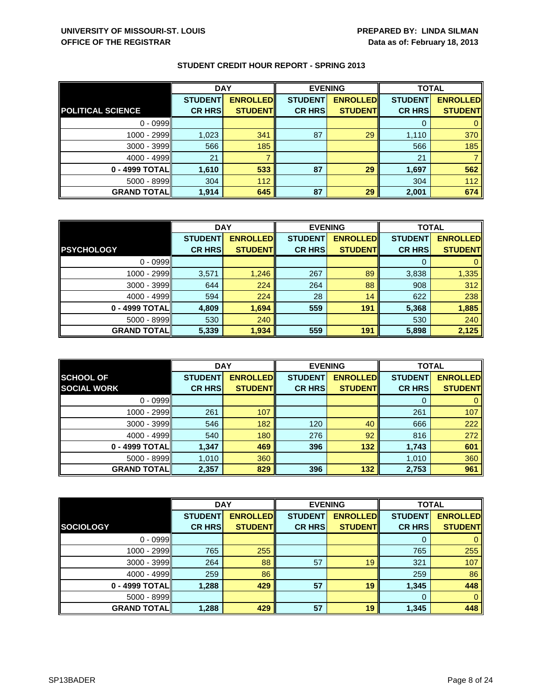|                          | <b>DAY</b>     |                 | <b>EVENING</b> |                 | <b>TOTAL</b>   |                 |
|--------------------------|----------------|-----------------|----------------|-----------------|----------------|-----------------|
|                          | <b>STUDENT</b> | <b>ENROLLED</b> | <b>STUDENT</b> | <b>ENROLLED</b> | <b>STUDENT</b> | <b>ENROLLED</b> |
| <b>POLITICAL SCIENCE</b> | <b>CR HRS</b>  | <b>STUDENT</b>  | <b>CR HRS</b>  | <b>STUDENT</b>  | <b>CR HRS</b>  | <b>STUDENT</b>  |
| $0 - 0999$               |                |                 |                |                 |                |                 |
| 1000 - 2999              | 1,023          | 341             | 87             | 29              | 1,110          | 370             |
| $3000 - 3999$            | 566            | 185             |                |                 | 566            | 185             |
| $4000 - 4999$            | 21             |                 |                |                 | 21             |                 |
| 0 - 4999 TOTAL           | 1,610          | 533             | 87             | 29              | 1,697          | 562             |
| $5000 - 8999$            | 304            | 112             |                |                 | 304            | 112             |
| <b>GRAND TOTAL</b>       | 1,914          | 645             | 87             | 29              | 2,001          | 674             |

|                    | <b>DAY</b>     |                 |                | <b>EVENING</b>  |                | <b>TOTAL</b>    |  |
|--------------------|----------------|-----------------|----------------|-----------------|----------------|-----------------|--|
|                    | <b>STUDENT</b> | <b>ENROLLED</b> | <b>STUDENT</b> | <b>ENROLLED</b> | <b>STUDENT</b> | <b>ENROLLED</b> |  |
| <b>PSYCHOLOGY</b>  | <b>CR HRS</b>  | <b>STUDENT</b>  | <b>CR HRS</b>  | <b>STUDENT</b>  | <b>CR HRS</b>  | <b>STUDENT</b>  |  |
| $0 - 0999$         |                |                 |                |                 |                |                 |  |
| 1000 - 2999        | 3,571          | 1,246           | 267            | 89              | 3,838          | 1,335           |  |
| $3000 - 3999$      | 644            | 224             | 264            | 88              | 908            | 312             |  |
| $4000 - 4999$      | 594            | 224             | 28             | 14              | 622            | 238             |  |
| 0 - 4999 TOTAL     | 4,809          | 1,694           | 559            | 191             | 5,368          | 1,885           |  |
| $5000 - 8999$      | 530            | 240             |                |                 | 530            | 240             |  |
| <b>GRAND TOTAL</b> | 5,339          | 1,934           | 559            | 191             | 5,898          | 2,125           |  |

|                                        | <b>DAY</b>                      |                                   |                                 | <b>EVENING</b>                    | <b>TOTAL</b>                    |                                   |
|----------------------------------------|---------------------------------|-----------------------------------|---------------------------------|-----------------------------------|---------------------------------|-----------------------------------|
| <b>SCHOOL OF</b><br><b>SOCIAL WORK</b> | <b>STUDENT</b><br><b>CR HRS</b> | <b>ENROLLED</b><br><b>STUDENT</b> | <b>STUDENT</b><br><b>CR HRS</b> | <b>ENROLLED</b><br><b>STUDENT</b> | <b>STUDENT</b><br><b>CR HRS</b> | <b>ENROLLED</b><br><b>STUDENT</b> |
|                                        |                                 |                                   |                                 |                                   |                                 |                                   |
| $0 - 0999$                             |                                 |                                   |                                 |                                   | O                               |                                   |
| 1000 - 2999                            | 261                             | 107                               |                                 |                                   | 261                             | 107                               |
| $3000 - 3999$                          | 546                             | 182                               | 120                             | 40                                | 666                             | 222                               |
| $4000 - 4999$                          | 540                             | 180                               | 276                             | 92                                | 816                             | 272                               |
| 0 - 4999 TOTAL                         | 1,347                           | 469                               | 396                             | 132                               | 1,743                           | 601                               |
| $5000 - 8999$                          | 1,010                           | 360                               |                                 |                                   | 1,010                           | 360                               |
| <b>GRAND TOTALI</b>                    | 2,357                           | 829                               | 396                             | 132                               | 2,753                           | 961                               |

|                    | <b>DAY</b>     |                 |                | <b>EVENING</b>  |                | <b>TOTAL</b>    |  |
|--------------------|----------------|-----------------|----------------|-----------------|----------------|-----------------|--|
|                    | <b>STUDENT</b> | <b>ENROLLED</b> | <b>STUDENT</b> | <b>ENROLLED</b> | <b>STUDENT</b> | <b>ENROLLED</b> |  |
| <b>SOCIOLOGY</b>   | <b>CR HRS</b>  | <b>STUDENT</b>  | <b>CR HRS</b>  | <b>STUDENT</b>  | <b>CR HRS</b>  | <b>STUDENT</b>  |  |
| $0 - 0999$         |                |                 |                |                 | O              | 0               |  |
| 1000 - 2999        | 765            | 255             |                |                 | 765            | 255             |  |
| $3000 - 3999$      | 264            | 88              | 57             | 19              | 321            | 107             |  |
| $4000 - 4999$      | 259            | 86              |                |                 | 259            | 86              |  |
| 0 - 4999 TOTAL     | 1,288          | 429             | 57             | 19              | 1,345          | 448             |  |
| $5000 - 8999$      |                |                 |                |                 | $\Omega$       | $\Omega$        |  |
| <b>GRAND TOTAL</b> | 1,288          | 429             | 57             | 19              | 1,345          | 448             |  |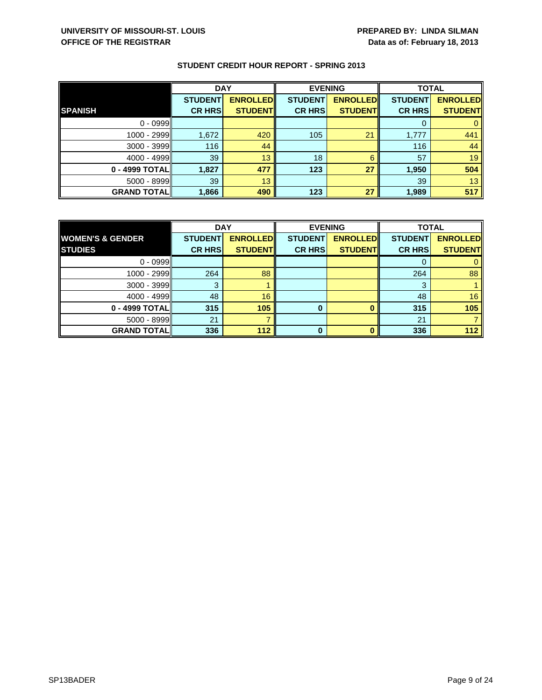|                    | <b>DAY</b>     |                 |                | <b>EVENING</b>  | <b>TOTAL</b>   |                 |
|--------------------|----------------|-----------------|----------------|-----------------|----------------|-----------------|
|                    | <b>STUDENT</b> | <b>ENROLLED</b> | <b>STUDENT</b> | <b>ENROLLED</b> | <b>STUDENT</b> | <b>ENROLLED</b> |
| <b>SPANISH</b>     | <b>CR HRS</b>  | <b>STUDENT</b>  | <b>CR HRS</b>  | <b>STUDENT</b>  | <b>CR HRS</b>  | <b>STUDENT</b>  |
| $0 - 0999$         |                |                 |                |                 |                |                 |
| 1000 - 2999        | 1,672          | 420             | 105            | 21              | 1,777          | 441             |
| $3000 - 3999$      | 116            | 44              |                |                 | 116            | 44              |
| $4000 - 4999$      | 39             | 13              | 18             | 6               | 57             | 19              |
| 0 - 4999 TOTAL     | 1,827          | 477             | 123            | 27              | 1,950          | 504             |
| $5000 - 8999$      | 39             | 13              |                |                 | 39             | 13              |
| <b>GRAND TOTAL</b> | 1,866          | 490             | 123            | 27              | 1,989          | 517             |

|                             | <b>DAY</b>     |                 | <b>EVENING</b> |                 | <b>TOTAL</b>   |                 |
|-----------------------------|----------------|-----------------|----------------|-----------------|----------------|-----------------|
| <b>WOMEN'S &amp; GENDER</b> | <b>STUDENT</b> | <b>ENROLLED</b> | <b>STUDENT</b> | <b>ENROLLED</b> | <b>STUDENT</b> | <b>ENROLLED</b> |
| <b>STUDIES</b>              | <b>CR HRS</b>  | <b>STUDENT</b>  | <b>CR HRS</b>  | <b>STUDENT</b>  | <b>CR HRS</b>  | <b>STUDENT</b>  |
| $0 - 0999$                  |                |                 |                |                 |                |                 |
| $1000 - 2999$               | 264            | 88              |                |                 | 264            | 88              |
| $3000 - 3999$               | 3              |                 |                |                 | 3              |                 |
| $4000 - 4999$               | 48             | 16              |                |                 | 48             | 16              |
| 0 - 4999 TOTAL              | 315            | 105             | 0              |                 | 315            | 105             |
| $5000 - 8999$               | 21             |                 |                |                 | 21             |                 |
| <b>GRAND TOTAL</b>          | 336            | 112             | 0              |                 | 336            | 112             |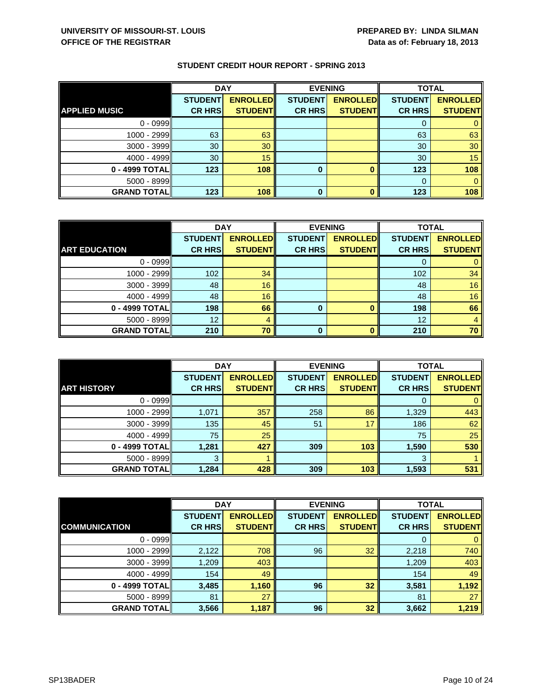|                      | <b>DAY</b>      |                 | <b>EVENING</b> |                 | <b>TOTAL</b>   |                 |
|----------------------|-----------------|-----------------|----------------|-----------------|----------------|-----------------|
|                      | <b>STUDENT</b>  | <b>ENROLLED</b> | <b>STUDENT</b> | <b>ENROLLED</b> | <b>STUDENT</b> | <b>ENROLLED</b> |
| <b>APPLIED MUSIC</b> | <b>CR HRS</b>   | <b>STUDENT</b>  | <b>CR HRS</b>  | <b>STUDENT</b>  | <b>CR HRS</b>  | <b>STUDENT</b>  |
| $0 - 0999$           |                 |                 |                |                 |                |                 |
| 1000 - 2999          | 63              | 63              |                |                 | 63             | 63              |
| 3000 - 3999          | 30              | 30 <sup>°</sup> |                |                 | 30             | 30              |
| $4000 - 4999$        | 30 <sup>°</sup> | 15              |                |                 | 30             | 15              |
| 0 - 4999 TOTAL       | 123             | 108             | $\bf{0}$       |                 | 123            | 108             |
| 5000 - 8999          |                 |                 |                |                 | $\Omega$       |                 |
| <b>GRAND TOTAL</b>   | 123             | 108             | 0              |                 | 123            | 108             |

|                      | <b>DAY</b>     |                 | <b>EVENING</b> |                 | <b>TOTAL</b>   |                 |
|----------------------|----------------|-----------------|----------------|-----------------|----------------|-----------------|
|                      | <b>STUDENT</b> | <b>ENROLLED</b> | <b>STUDENT</b> | <b>ENROLLED</b> | <b>STUDENT</b> | <b>ENROLLED</b> |
| <b>ART EDUCATION</b> | <b>CR HRS</b>  | <b>STUDENT</b>  | <b>CR HRS</b>  | <b>STUDENT</b>  | <b>CR HRS</b>  | <b>STUDENT</b>  |
| $0 - 0999$           |                |                 |                |                 |                |                 |
| $1000 - 2999$        | 102            | 34              |                |                 | 102            | 34              |
| 3000 - 3999          | 48             | 16              |                |                 | 48             | 16              |
| $4000 - 4999$        | 48             | 16              |                |                 | 48             | 16              |
| 0 - 4999 TOTAL       | 198            | 66              | 0              |                 | 198            | 66              |
| $5000 - 8999$        | 12             | 4               |                |                 | 12             |                 |
| <b>GRAND TOTAL</b>   | 210            | 70              | ŋ              |                 | 210            | 70              |

|                     | <b>DAY</b>     |                 |                | <b>EVENING</b>  | <b>TOTAL</b>   |                 |
|---------------------|----------------|-----------------|----------------|-----------------|----------------|-----------------|
|                     | <b>STUDENT</b> | <b>ENROLLED</b> | <b>STUDENT</b> | <b>ENROLLED</b> | <b>STUDENT</b> | <b>ENROLLED</b> |
| <b>ART HISTORY</b>  | <b>CR HRS</b>  | <b>STUDENT</b>  | <b>CR HRS</b>  | <b>STUDENT</b>  | <b>CR HRS</b>  | <b>STUDENT</b>  |
| $0 - 0999$          |                |                 |                |                 |                |                 |
| $1000 - 2999$       | 1,071          | 357             | 258            | 86              | 1,329          | 443             |
| 3000 - 3999         | 135            | 45              | 51             | 17              | 186            | 62              |
| $4000 - 4999$       | 75             | 25              |                |                 | 75             | 25              |
| 0 - 4999 TOTAL      | 1,281          | 427             | 309            | 103             | 1,590          | 530             |
| 5000 - 8999         | З              |                 |                |                 | 3              |                 |
| <b>GRAND TOTALI</b> | 1,284          | 428             | 309            | 103             | 1,593          | 531             |

|                      | <b>DAY</b>     |                 | <b>EVENING</b> |                 | <b>TOTAL</b>   |                 |
|----------------------|----------------|-----------------|----------------|-----------------|----------------|-----------------|
|                      | <b>STUDENT</b> | <b>ENROLLED</b> | <b>STUDENT</b> | <b>ENROLLED</b> | <b>STUDENT</b> | <b>ENROLLED</b> |
| <b>COMMUNICATION</b> | <b>CR HRS</b>  | <b>STUDENT</b>  | <b>CR HRS</b>  | <b>STUDENT</b>  | <b>CR HRS</b>  | <b>STUDENT</b>  |
| $0 - 0999$           |                |                 |                |                 | 0              | $\mathbf{0}$    |
| 1000 - 2999          | 2,122          | 708             | 96             | 32              | 2,218          | 740             |
| $3000 - 3999$        | 1,209          | 403             |                |                 | 1,209          | 403             |
| $4000 - 4999$        | 154            | 49              |                |                 | 154            | 49              |
| 0 - 4999 TOTAL       | 3,485          | 1,160           | 96             | 32              | 3,581          | 1,192           |
| $5000 - 8999$        | 81             | 27              |                |                 | 81             | 27              |
| <b>GRAND TOTAL</b>   | 3,566          | 1,187           | 96             | 32              | 3,662          | 1,219           |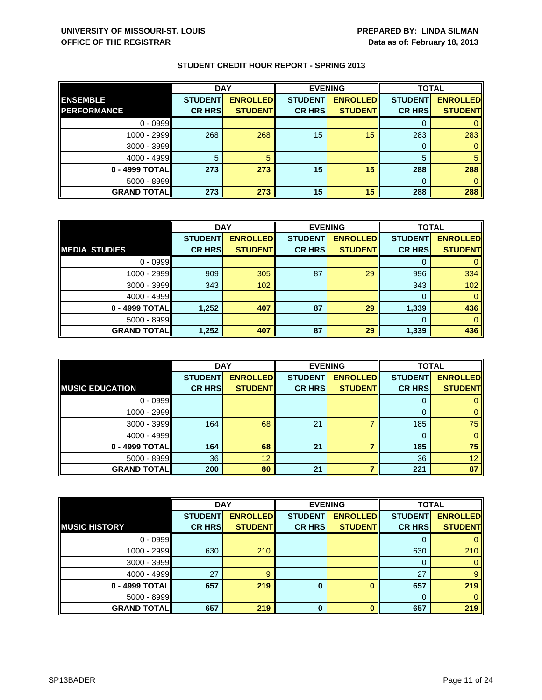|                     | <b>DAY</b>     |                 |                | <b>EVENING</b>  | <b>TOTAL</b>   |                 |
|---------------------|----------------|-----------------|----------------|-----------------|----------------|-----------------|
| <b>ENSEMBLE</b>     | <b>STUDENT</b> | <b>ENROLLED</b> | <b>STUDENT</b> | <b>ENROLLED</b> | <b>STUDENT</b> | <b>ENROLLED</b> |
| <b>PERFORMANCE</b>  | <b>CR HRS</b>  | <b>STUDENT</b>  | <b>CR HRS</b>  | <b>STUDENT</b>  | <b>CR HRS</b>  | <b>STUDENT</b>  |
| $0 - 0999$          |                |                 |                |                 |                |                 |
| 1000 - 2999         | 268            | 268             | 15             | 15              | 283            | 283             |
| 3000 - 3999         |                |                 |                |                 |                |                 |
| $4000 - 4999$       |                |                 |                |                 | 5              | 5               |
| 0 - 4999 TOTAL      | 273            | 273             | 15             | 15              | 288            | 288             |
| 5000 - 8999         |                |                 |                |                 |                |                 |
| <b>GRAND TOTALI</b> | 273            | 273             | 15             | 15              | 288            | 288             |

|                      | <b>DAY</b>     |                 |                | <b>EVENING</b>  |                | <b>TOTAL</b>    |  |
|----------------------|----------------|-----------------|----------------|-----------------|----------------|-----------------|--|
|                      | <b>STUDENT</b> | <b>ENROLLED</b> | <b>STUDENT</b> | <b>ENROLLED</b> | <b>STUDENT</b> | <b>ENROLLED</b> |  |
| <b>MEDIA STUDIES</b> | <b>CR HRS</b>  | <b>STUDENT</b>  | <b>CR HRS</b>  | <b>STUDENT</b>  | <b>CR HRS</b>  | <b>STUDENT</b>  |  |
| $0 - 0999$           |                |                 |                |                 |                |                 |  |
| 1000 - 2999          | 909            | 305             | 87             | 29              | 996            | 334             |  |
| $3000 - 3999$        | 343            | 102             |                |                 | 343            | 102             |  |
| 4000 - 4999          |                |                 |                |                 | $\Omega$       | 0               |  |
| 0 - 4999 TOTAL       | 1,252          | 407             | 87             | 29              | 1,339          | 436             |  |
| $5000 - 8999$        |                |                 |                |                 | 0              |                 |  |
| <b>GRAND TOTAL</b>   | 1,252          | 407             | 87             | 29              | 1,339          | 436             |  |

|                        | <b>DAY</b>                      |                                   |                                 | <b>EVENING</b>                    | <b>TOTAL</b>                    |                                   |
|------------------------|---------------------------------|-----------------------------------|---------------------------------|-----------------------------------|---------------------------------|-----------------------------------|
| <b>MUSIC EDUCATION</b> | <b>STUDENT</b><br><b>CR HRS</b> | <b>ENROLLED</b><br><b>STUDENT</b> | <b>STUDENT</b><br><b>CR HRS</b> | <b>ENROLLED</b><br><b>STUDENT</b> | <b>STUDENT</b><br><b>CR HRS</b> | <b>ENROLLED</b><br><b>STUDENT</b> |
|                        |                                 |                                   |                                 |                                   |                                 |                                   |
| $0 - 0999$             |                                 |                                   |                                 |                                   | O                               |                                   |
| $1000 - 2999$          |                                 |                                   |                                 |                                   |                                 |                                   |
| $3000 - 3999$          | 164                             | 68                                | 21                              |                                   | 185                             | 75                                |
| $4000 - 4999$          |                                 |                                   |                                 |                                   | 0                               |                                   |
| 0 - 4999 TOTAL         | 164                             | 68                                | 21                              |                                   | 185                             | 75                                |
| $5000 - 8999$          | 36                              | 12                                |                                 |                                   | 36                              | 12                                |
| <b>GRAND TOTALI</b>    | 200                             | 80                                | 21                              |                                   | 221                             | 87                                |

|                      | <b>DAY</b>     |                 | <b>EVENING</b> |                 | <b>TOTAL</b>   |                 |
|----------------------|----------------|-----------------|----------------|-----------------|----------------|-----------------|
|                      | <b>STUDENT</b> | <b>ENROLLED</b> | <b>STUDENT</b> | <b>ENROLLED</b> | <b>STUDENT</b> | <b>ENROLLED</b> |
| <b>MUSIC HISTORY</b> | <b>CR HRS</b>  | <b>STUDENT</b>  | <b>CR HRS</b>  | <b>STUDENT</b>  | <b>CR HRS</b>  | <b>STUDENT</b>  |
| $0 - 0999$           |                |                 |                |                 |                | 0               |
| 1000 - 2999          | 630            | 210             |                |                 | 630            | 210             |
| $3000 - 3999$        |                |                 |                |                 | 0              | 0               |
| $4000 - 4999$        | 27             | 9               |                |                 | 27             | 9               |
| 0 - 4999 TOTAL       | 657            | 219             | 0              |                 | 657            | 219             |
| $5000 - 8999$        |                |                 |                |                 | $\Omega$       | $\Omega$        |
| <b>GRAND TOTAL</b>   | 657            | 219             | O              | $\mathbf{0}$    | 657            | 219             |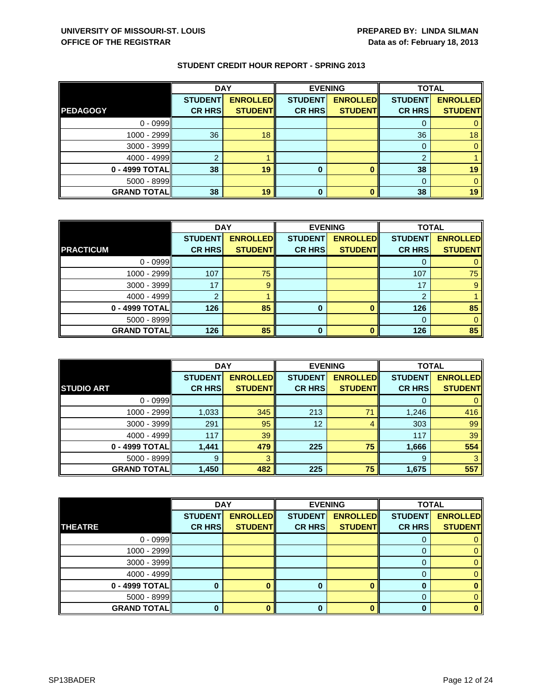|                    | <b>DAY</b>     |                 | <b>EVENING</b> |                 | <b>TOTAL</b>   |                 |
|--------------------|----------------|-----------------|----------------|-----------------|----------------|-----------------|
|                    | <b>STUDENT</b> | <b>ENROLLED</b> | <b>STUDENT</b> | <b>ENROLLED</b> | <b>STUDENT</b> | <b>ENROLLED</b> |
| <b>PEDAGOGY</b>    | <b>CR HRS</b>  | <b>STUDENT</b>  | <b>CR HRS</b>  | <b>STUDENT</b>  | <b>CR HRS</b>  | <b>STUDENT</b>  |
| $0 - 0999$         |                |                 |                |                 |                |                 |
| 1000 - 2999        | 36             | 18              |                |                 | 36             | 18              |
| 3000 - 3999        |                |                 |                |                 |                |                 |
| $4000 - 4999$      |                |                 |                |                 | ົ              |                 |
| 0 - 4999 TOTAL     | 38             | 19              | 0              |                 | 38             | 19              |
| 5000 - 8999        |                |                 |                |                 |                |                 |
| <b>GRAND TOTAL</b> | 38             | 19              | 0              |                 | 38             | 19              |

|                    | <b>DAY</b>     |                 | <b>EVENING</b> |                 | <b>TOTAL</b>    |                 |
|--------------------|----------------|-----------------|----------------|-----------------|-----------------|-----------------|
|                    | <b>STUDENT</b> | <b>ENROLLED</b> | <b>STUDENT</b> | <b>ENROLLED</b> | <b>STUDENTI</b> | <b>ENROLLED</b> |
| <b>PRACTICUM</b>   | <b>CR HRS</b>  | <b>STUDENT</b>  | <b>CR HRS</b>  | <b>STUDENT</b>  | <b>CR HRS</b>   | <b>STUDENT</b>  |
| $0 - 0999$         |                |                 |                |                 |                 |                 |
| 1000 - 2999        | 107            | 75              |                |                 | 107             | 75              |
| $3000 - 3999$      | 17             | 9               |                |                 | 17              | 9               |
| 4000 - 4999        |                |                 |                |                 | ≘               |                 |
| 0 - 4999 TOTAL     | 126            | 85              | 0              |                 | 126             | 85              |
| $5000 - 8999$      |                |                 |                |                 |                 |                 |
| <b>GRAND TOTAL</b> | 126            | 85              | ŋ              |                 | 126             | 85              |

|                    | <b>DAY</b>                      |                                    |                                 | <b>EVENING</b>                    | <b>TOTAL</b>                    |                                   |
|--------------------|---------------------------------|------------------------------------|---------------------------------|-----------------------------------|---------------------------------|-----------------------------------|
| <b>STUDIO ART</b>  | <b>STUDENT</b><br><b>CR HRS</b> | <b>ENROLLED</b><br><b>STUDENTI</b> | <b>STUDENT</b><br><b>CR HRS</b> | <b>ENROLLED</b><br><b>STUDENT</b> | <b>STUDENT</b><br><b>CR HRS</b> | <b>ENROLLED</b><br><b>STUDENT</b> |
|                    |                                 |                                    |                                 |                                   |                                 |                                   |
| $0 - 0999$         |                                 |                                    |                                 |                                   | 0                               | 0                                 |
| $1000 - 2999$      | 1,033                           | 345                                | 213                             | 71                                | 1,246                           | 416                               |
| 3000 - 3999        | 291                             | 95                                 | 12 <sup>2</sup>                 | 4                                 | 303                             | 99                                |
| $4000 - 4999$      | 117                             | 39                                 |                                 |                                   | 117                             | 39                                |
| 0 - 4999 TOTAL     | 1,441                           | 479                                | 225                             | 75                                | 1,666                           | 554                               |
| $5000 - 8999$      | 9                               | 3                                  |                                 |                                   | 9                               | 3                                 |
| <b>GRAND TOTAL</b> | 1,450                           | 482                                | 225                             | 75                                | 1,675                           | 557                               |

|                    | <b>DAY</b>     |                 |                | <b>EVENING</b>  | <b>TOTAL</b>   |                 |
|--------------------|----------------|-----------------|----------------|-----------------|----------------|-----------------|
|                    | <b>STUDENT</b> | <b>ENROLLED</b> | <b>STUDENT</b> | <b>ENROLLED</b> | <b>STUDENT</b> | <b>ENROLLED</b> |
| <b>THEATRE</b>     | <b>CR HRS</b>  | <b>STUDENT</b>  | <b>CR HRS</b>  | <b>STUDENT</b>  | <b>CR HRS</b>  | <b>STUDENT</b>  |
| $0 - 0999$         |                |                 |                |                 |                |                 |
| $1000 - 2999$      |                |                 |                |                 | 0              | 0               |
| $3000 - 3999$      |                |                 |                |                 | 0              | 0               |
| $4000 - 4999$      |                |                 |                |                 |                | 0               |
| $0 - 4999$ TOTAL   |                |                 | o              |                 | O              |                 |
| $5000 - 8999$      |                |                 |                |                 | $\Omega$       | 0               |
| <b>GRAND TOTAL</b> |                |                 |                |                 |                |                 |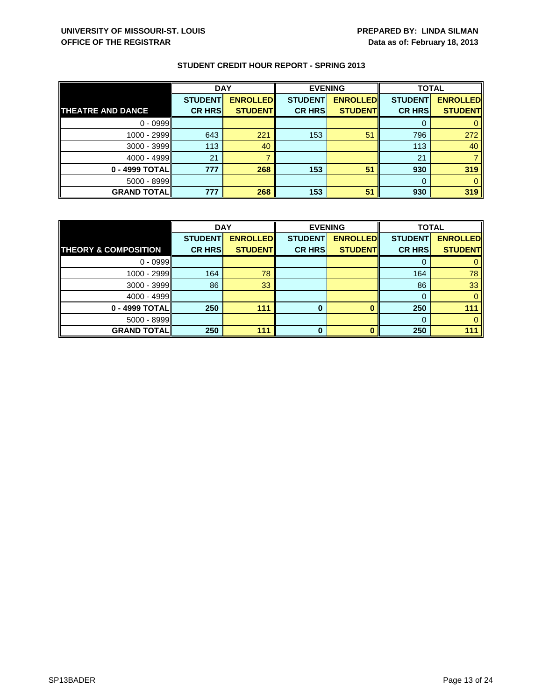|                          | <b>DAY</b>     |                 | <b>EVENING</b> |                 | <b>TOTAL</b>   |                 |
|--------------------------|----------------|-----------------|----------------|-----------------|----------------|-----------------|
|                          | <b>STUDENT</b> | <b>ENROLLED</b> | <b>STUDENT</b> | <b>ENROLLED</b> | <b>STUDENT</b> | <b>ENROLLED</b> |
| <b>THEATRE AND DANCE</b> | <b>CR HRS</b>  | <b>STUDENT</b>  | <b>CR HRS</b>  | <b>STUDENT</b>  | <b>CR HRS</b>  | <b>STUDENT</b>  |
| $0 - 0999$               |                |                 |                |                 |                |                 |
| $1000 - 2999$            | 643            | 221             | 153            | 51              | 796            | 272             |
| $3000 - 3999$            | 113            | 40              |                |                 | 113            | 40              |
| $4000 - 4999$            | 21             |                 |                |                 | 21             |                 |
| 0 - 4999 TOTAL           | 777            | 268             | 153            | 51              | 930            | 319             |
| $5000 - 8999$            |                |                 |                |                 |                |                 |
| <b>GRAND TOTAL</b>       | 777            | 268             | 153            | 51              | 930            | 319             |

|                                 | <b>DAY</b>     |                 | <b>EVENING</b> |                 | <b>TOTAL</b>   |                 |
|---------------------------------|----------------|-----------------|----------------|-----------------|----------------|-----------------|
|                                 | <b>STUDENT</b> | <b>ENROLLED</b> | <b>STUDENT</b> | <b>ENROLLED</b> | <b>STUDENT</b> | <b>ENROLLED</b> |
| <b>THEORY &amp; COMPOSITION</b> | <b>CR HRS</b>  | <b>STUDENT</b>  | <b>CR HRS</b>  | <b>STUDENT</b>  | <b>CR HRS</b>  | <b>STUDENT</b>  |
| $0 - 0999$                      |                |                 |                |                 |                |                 |
| 1000 - 2999                     | 164            | 78              |                |                 | 164            | 78              |
| 3000 - 3999                     | 86             | 33              |                |                 | 86             | 33              |
| $4000 - 4999$                   |                |                 |                |                 | 0              |                 |
| 0 - 4999 TOTAL                  | 250            | 111             | 0              |                 | 250            | 111             |
| $5000 - 8999$                   |                |                 |                |                 |                |                 |
| <b>GRAND TOTAL</b>              | 250            | 111             | n              |                 | 250            | 111             |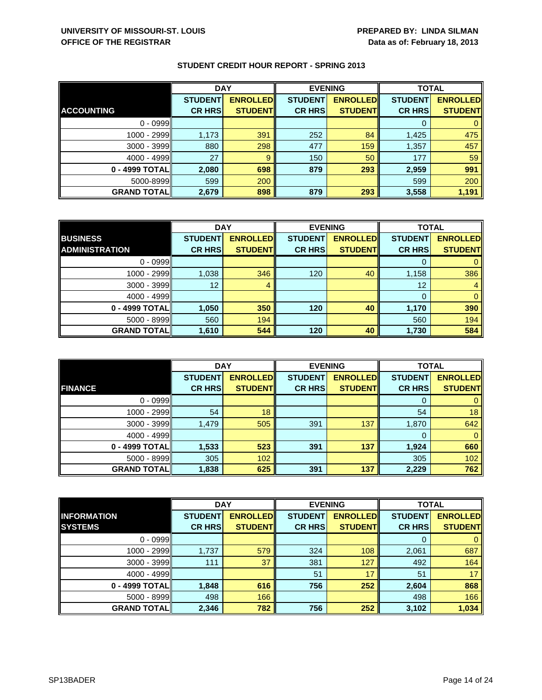|                    | <b>DAY</b>     |                 | <b>EVENING</b> |                 | <b>TOTAL</b>   |                 |
|--------------------|----------------|-----------------|----------------|-----------------|----------------|-----------------|
|                    | <b>STUDENT</b> | <b>ENROLLED</b> | <b>STUDENT</b> | <b>ENROLLED</b> | <b>STUDENT</b> | <b>ENROLLED</b> |
| <b>ACCOUNTING</b>  | <b>CR HRS</b>  | <b>STUDENT</b>  | <b>CR HRS</b>  | <b>STUDENT</b>  | <b>CR HRS</b>  | <b>STUDENT</b>  |
| $0 - 0999$         |                |                 |                |                 | 0              |                 |
| $1000 - 2999$      | 1,173          | 391             | 252            | 84              | 1,425          | 475             |
| 3000 - 3999        | 880            | 298             | 477            | 159             | 1,357          | 457             |
| $4000 - 4999$      | 27             | 9               | 150            | 50              | 177            | 59              |
| 0 - 4999 TOTAL     | 2,080          | 698             | 879            | 293             | 2,959          | 991             |
| 5000-8999          | 599            | 200             |                |                 | 599            | 200             |
| <b>GRAND TOTAL</b> | 2,679          | 898             | 879            | 293             | 3,558          | 1,191           |

|                       | <b>DAY</b>     |                 |                | <b>EVENING</b>  | <b>TOTAL</b>   |                 |
|-----------------------|----------------|-----------------|----------------|-----------------|----------------|-----------------|
| <b>BUSINESS</b>       | <b>STUDENT</b> | <b>ENROLLED</b> | <b>STUDENT</b> | <b>ENROLLED</b> | <b>STUDENT</b> | <b>ENROLLED</b> |
| <b>ADMINISTRATION</b> | <b>CR HRS</b>  | <b>STUDENT</b>  | <b>CR HRS</b>  | <b>STUDENTI</b> | <b>CR HRS</b>  | <b>STUDENT</b>  |
| $0 - 0999$            |                |                 |                |                 |                | 0               |
| 1000 - 2999           | 1,038          | 346             | 120            | 40              | 1,158          | 386             |
| 3000 - 3999           | 12             | 4               |                |                 | 12             | 4               |
| 4000 - 4999           |                |                 |                |                 | 0              | $\mathbf{0}$    |
| 0 - 4999 TOTAL        | 1,050          | 350             | 120            | 40              | 1,170          | 390             |
| 5000 - 8999           | 560            | 194             |                |                 | 560            | 194             |
| <b>GRAND TOTAL</b>    | 1,610          | 544             | 120            | 40              | 1,730          | 584             |

|                     | <b>DAY</b>     |                 |                | <b>EVENING</b>  | <b>TOTAL</b>   |                 |
|---------------------|----------------|-----------------|----------------|-----------------|----------------|-----------------|
| <b>FINANCE</b>      | <b>STUDENT</b> | <b>ENROLLED</b> | <b>STUDENT</b> | <b>ENROLLED</b> | <b>STUDENT</b> | <b>ENROLLED</b> |
|                     | <b>CR HRS</b>  | <b>STUDENT</b>  | <b>CR HRS</b>  | <b>STUDENT</b>  | <b>CR HRS</b>  | <b>STUDENT</b>  |
| $0 - 0999$          |                |                 |                |                 | 0              | $\mathbf{0}$    |
| 1000 - 2999         | 54             | 18              |                |                 | 54             | 18              |
| $3000 - 3999$       | 1,479          | 505             | 391            | 137             | 1,870          | 642             |
| $4000 - 4999$       |                |                 |                |                 | 0              | $\mathbf{0}$    |
| 0 - 4999 TOTAL      | 1,533          | 523             | 391            | 137             | 1,924          | 660             |
| $5000 - 8999$       | 305            | 102             |                |                 | 305            | 102             |
| <b>GRAND TOTALI</b> | 1,838          | 625             | 391            | 137             | 2,229          | 762             |

|                    | <b>DAY</b>     |                 | <b>EVENING</b> |                 | <b>TOTAL</b>   |                 |
|--------------------|----------------|-----------------|----------------|-----------------|----------------|-----------------|
| <b>INFORMATION</b> | <b>STUDENT</b> | <b>ENROLLED</b> | <b>STUDENT</b> | <b>ENROLLED</b> | <b>STUDENT</b> | <b>ENROLLED</b> |
| <b>SYSTEMS</b>     | <b>CR HRS</b>  | <b>STUDENT</b>  | <b>CR HRS</b>  | <b>STUDENT</b>  | <b>CR HRS</b>  | <b>STUDENT</b>  |
| $0 - 0999$         |                |                 |                |                 | 0              | 0               |
| 1000 - 2999        | 1,737          | 579             | 324            | 108             | 2,061          | 687             |
| $3000 - 3999$      | 111            | 37              | 381            | 127             | 492            | 164             |
| $4000 - 4999$      |                |                 | 51             | 17              | 51             | 17 <sup>1</sup> |
| 0 - 4999 TOTAL     | 1,848          | 616             | 756            | 252             | 2,604          | 868             |
| $5000 - 8999$      | 498            | 166             |                |                 | 498            | 166             |
| <b>GRAND TOTAL</b> | 2,346          | 782             | 756            | 252             | 3,102          | 1,034           |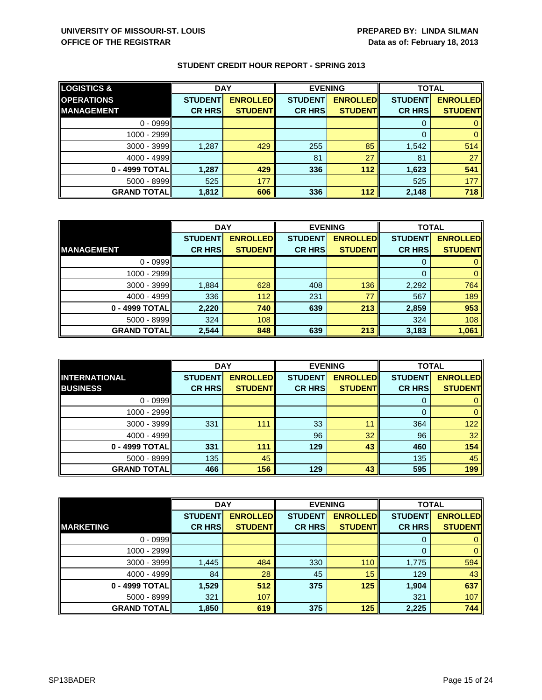| <b>LOGISTICS &amp;</b> | <b>DAY</b>     |                 | <b>EVENING</b> |                 | <b>TOTAL</b>   |                 |
|------------------------|----------------|-----------------|----------------|-----------------|----------------|-----------------|
| <b>OPERATIONS</b>      | <b>STUDENT</b> | <b>ENROLLED</b> | <b>STUDENT</b> | <b>ENROLLED</b> | <b>STUDENT</b> | <b>ENROLLED</b> |
| <b>IMANAGEMENT</b>     | <b>CR HRS</b>  | <b>STUDENT</b>  | <b>CR HRS</b>  | <b>STUDENT</b>  | <b>CR HRS</b>  | <b>STUDENT</b>  |
| $0 - 0999$             |                |                 |                |                 |                |                 |
| $1000 - 2999$          |                |                 |                |                 |                |                 |
| $3000 - 3999$          | 1,287          | 429             | 255            | 85              | 1,542          | 514             |
| $4000 - 4999$          |                |                 | 81             | 27              | 81             | 27              |
| $0 - 4999$ TOTAL       | 1,287          | 429             | 336            | $112$           | 1,623          | 541             |
| $5000 - 8999$          | 525            | 177             |                |                 | 525            | 177             |
| <b>GRAND TOTAL</b>     | 1,812          | 606             | 336            | 112             | 2,148          | 718             |

|                    | <b>DAY</b>     |                  | <b>EVENING</b> |                 | <b>TOTAL</b>   |                 |
|--------------------|----------------|------------------|----------------|-----------------|----------------|-----------------|
|                    | <b>STUDENT</b> | <b>ENROLLEDI</b> | <b>STUDENT</b> | <b>ENROLLED</b> | <b>STUDENT</b> | <b>ENROLLED</b> |
| <b>MANAGEMENT</b>  | <b>CR HRS</b>  | <b>STUDENT</b>   | <b>CR HRS</b>  | <b>STUDENT</b>  | <b>CR HRS</b>  | <b>STUDENT</b>  |
| $0 - 0999$         |                |                  |                |                 |                |                 |
| 1000 - 2999        |                |                  |                |                 | 0              | 0               |
| $3000 - 3999$      | 1,884          | 628              | 408            | 136             | 2,292          | 764             |
| $4000 - 4999$      | 336            | 112              | 231            | 77              | 567            | 189             |
| 0 - 4999 TOTAL     | 2,220          | 740              | 639            | 213             | 2,859          | 953             |
| 5000 - 8999        | 324            | 108              |                |                 | 324            | 108             |
| <b>GRAND TOTAL</b> | 2,544          | 848              | 639            | 213             | 3,183          | 1,061           |

|                                         | <b>DAY</b>                      |                                   |                                 | <b>EVENING</b>                    | <b>TOTAL</b>                    |                                   |
|-----------------------------------------|---------------------------------|-----------------------------------|---------------------------------|-----------------------------------|---------------------------------|-----------------------------------|
| <b>INTERNATIONAL</b><br><b>BUSINESS</b> | <b>STUDENT</b><br><b>CR HRS</b> | <b>ENROLLED</b><br><b>STUDENT</b> | <b>STUDENT</b><br><b>CR HRS</b> | <b>ENROLLED</b><br><b>STUDENT</b> | <b>STUDENT</b><br><b>CR HRS</b> | <b>ENROLLED</b><br><b>STUDENT</b> |
|                                         |                                 |                                   |                                 |                                   |                                 |                                   |
| $0 - 0999$                              |                                 |                                   |                                 |                                   | O                               | 0                                 |
| 1000 - 2999                             |                                 |                                   |                                 |                                   | 0                               | $\mathbf{0}$                      |
| $3000 - 3999$                           | 331                             | 111                               | 33                              | 11                                | 364                             | 122                               |
| $4000 - 4999$                           |                                 |                                   | 96                              | 32                                | 96                              | 32 <sup>°</sup>                   |
| 0 - 4999 TOTAL                          | 331                             | 111                               | 129                             | 43                                | 460                             | 154                               |
| $5000 - 8999$                           | 135                             | 45                                |                                 |                                   | 135                             | 45                                |
| <b>GRAND TOTALI</b>                     | 466                             | 156                               | 129                             | 43                                | 595                             | 199                               |

|                    | <b>DAY</b>     |                 | <b>EVENING</b> |                 | <b>TOTAL</b>   |                 |
|--------------------|----------------|-----------------|----------------|-----------------|----------------|-----------------|
|                    | <b>STUDENT</b> | <b>ENROLLED</b> | <b>STUDENT</b> | <b>ENROLLED</b> | <b>STUDENT</b> | <b>ENROLLED</b> |
| <b>MARKETING</b>   | <b>CR HRS</b>  | <b>STUDENT</b>  | <b>CR HRS</b>  | <b>STUDENT</b>  | <b>CR HRS</b>  | <b>STUDENT</b>  |
| $0 - 0999$         |                |                 |                |                 | 0              | $\mathbf{0}$    |
| 1000 - 2999        |                |                 |                |                 | 0              | $\mathbf{0}$    |
| 3000 - 3999        | 1,445          | 484             | 330            | 110             | 1,775          | 594             |
| $4000 - 4999$      | 84             | 28              | 45             | 15              | 129            | 43              |
| 0 - 4999 TOTAL     | 1,529          | 512             | 375            | 125             | 1,904          | 637             |
| 5000 - 8999        | 321            | 107             |                |                 | 321            | 107             |
| <b>GRAND TOTAL</b> | 1,850          | 619             | 375            | 125             | 2,225          | 744             |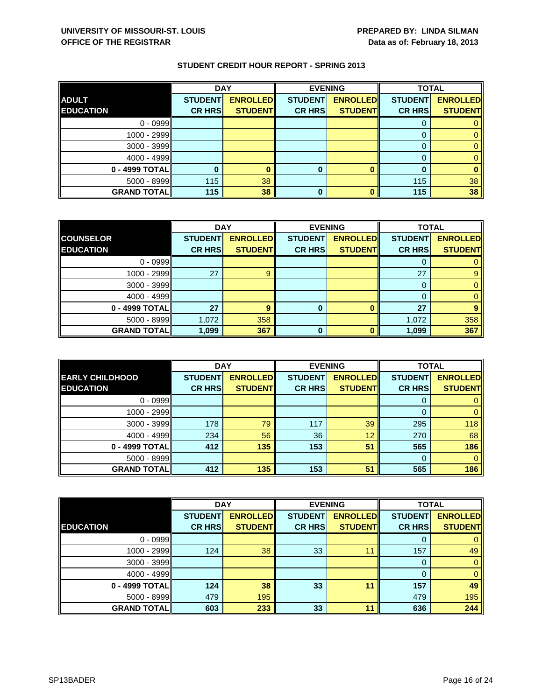|                    | <b>DAY</b>     |                 |                | <b>EVENING</b>  | <b>TOTAL</b>   |                 |
|--------------------|----------------|-----------------|----------------|-----------------|----------------|-----------------|
| <b>ADULT</b>       | <b>STUDENT</b> | <b>ENROLLED</b> | <b>STUDENT</b> | <b>ENROLLED</b> | <b>STUDENT</b> | <b>ENROLLED</b> |
| <b>EDUCATION</b>   | <b>CR HRS</b>  | <b>STUDENT</b>  | <b>CR HRS</b>  | <b>STUDENT</b>  | <b>CR HRS</b>  | <b>STUDENT</b>  |
| $0 - 0999$         |                |                 |                |                 |                |                 |
| 1000 - 2999        |                |                 |                |                 |                |                 |
| $3000 - 3999$      |                |                 |                |                 |                |                 |
| $4000 - 4999$      |                |                 |                |                 |                |                 |
| 0 - 4999 TOTAL     |                |                 | 0              |                 | 0              |                 |
| 5000 - 8999        | 115            | 38              |                |                 | 115            | 38              |
| <b>GRAND TOTAL</b> | 115            | 38              | 0              |                 | 115            | 38              |

|                    | <b>DAY</b>     |                 |                | <b>EVENING</b>  | <b>TOTAL</b>   |                 |
|--------------------|----------------|-----------------|----------------|-----------------|----------------|-----------------|
| <b>COUNSELOR</b>   | <b>STUDENT</b> | <b>ENROLLED</b> | <b>STUDENT</b> | <b>ENROLLED</b> | <b>STUDENT</b> | <b>ENROLLED</b> |
| <b>EDUCATION</b>   | <b>CR HRS</b>  | <b>STUDENT</b>  | <b>CR HRS</b>  | <b>STUDENT</b>  | <b>CR HRS</b>  | <b>STUDENT</b>  |
| $0 - 0999$         |                |                 |                |                 |                |                 |
| 1000 - 2999        | 27             |                 |                |                 | 27             |                 |
| $3000 - 3999$      |                |                 |                |                 |                |                 |
| $4000 - 4999$      |                |                 |                |                 |                |                 |
| 0 - 4999 TOTAL     | 27             | 9               | 0              |                 | 27             |                 |
| $5000 - 8999$      | 1,072          | 358             |                |                 | 1,072          | 358             |
| <b>GRAND TOTAL</b> | 1,099          | 367             | ŋ              |                 | 1,099          | 367             |

|                                            | <b>DAY</b>                      |                                    | <b>EVENING</b>                  |                                   | <b>TOTAL</b>                    |                                   |
|--------------------------------------------|---------------------------------|------------------------------------|---------------------------------|-----------------------------------|---------------------------------|-----------------------------------|
| <b>EARLY CHILDHOOD</b><br><b>EDUCATION</b> | <b>STUDENT</b><br><b>CR HRS</b> | <b>ENROLLEDI</b><br><b>STUDENT</b> | <b>STUDENT</b><br><b>CR HRS</b> | <b>ENROLLED</b><br><b>STUDENT</b> | <b>STUDENT</b><br><b>CR HRS</b> | <b>ENROLLED</b><br><b>STUDENT</b> |
|                                            |                                 |                                    |                                 |                                   |                                 |                                   |
| $0 - 0999$                                 |                                 |                                    |                                 |                                   | O                               |                                   |
| 1000 - 2999                                |                                 |                                    |                                 |                                   |                                 |                                   |
| $3000 - 3999$                              | 178                             | 79                                 | 117                             | 39                                | 295                             | 118                               |
| $4000 - 4999$                              | 234                             | 56                                 | 36                              | 12                                | 270                             | 68                                |
| 0 - 4999 TOTALI                            | 412                             | 135                                | 153                             | 51                                | 565                             | 186                               |
| $5000 - 8999$                              |                                 |                                    |                                 |                                   | $\Omega$                        | 0                                 |
| <b>GRAND TOTALI</b>                        | 412                             | 135                                | 153                             | 51                                | 565                             | 186                               |

|                    | <b>DAY</b>     |                 | <b>EVENING</b> |                 | <b>TOTAL</b>   |                 |
|--------------------|----------------|-----------------|----------------|-----------------|----------------|-----------------|
|                    | <b>STUDENT</b> | <b>ENROLLED</b> | <b>STUDENT</b> | <b>ENROLLED</b> | <b>STUDENT</b> | <b>ENROLLED</b> |
| <b>EDUCATION</b>   | <b>CR HRS</b>  | <b>STUDENT</b>  | <b>CR HRS</b>  | <b>STUDENT</b>  | <b>CR HRS</b>  | <b>STUDENT</b>  |
| $0 - 0999$         |                |                 |                |                 | 0              | $\mathbf{0}$    |
| 1000 - 2999        | 124            | 38              | 33             | 11              | 157            | 49              |
| 3000 - 3999        |                |                 |                |                 | 0              | $\mathbf{0}$    |
| $4000 - 4999$      |                |                 |                |                 | $\Omega$       | $\mathbf{0}$    |
| 0 - 4999 TOTAL     | 124            | 38              | 33             | 11              | 157            | 49              |
| 5000 - 8999        | 479            | 195             |                |                 | 479            | 195             |
| <b>GRAND TOTAL</b> | 603            | 233             | 33             | 11              | 636            | 244             |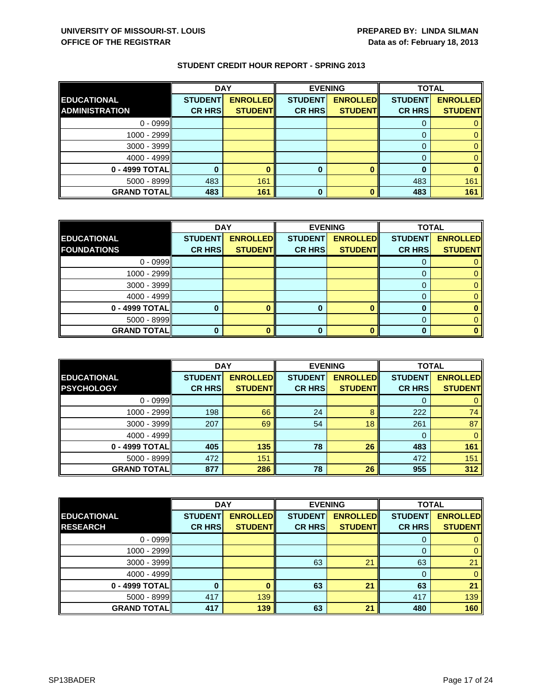|                       | <b>DAY</b>     |                 |                | <b>EVENING</b>  |                | <b>TOTAL</b>    |
|-----------------------|----------------|-----------------|----------------|-----------------|----------------|-----------------|
| <b>EDUCATIONAL</b>    | <b>STUDENT</b> | <b>ENROLLED</b> | <b>STUDENT</b> | <b>ENROLLED</b> | <b>STUDENT</b> | <b>ENROLLED</b> |
| <b>ADMINISTRATION</b> | <b>CR HRS</b>  | <b>STUDENT</b>  | <b>CR HRS</b>  | <b>STUDENT</b>  | <b>CR HRS</b>  | <b>STUDENT</b>  |
| $0 - 0999$            |                |                 |                |                 |                |                 |
| $1000 - 2999$         |                |                 |                |                 |                |                 |
| $3000 - 3999$         |                |                 |                |                 |                |                 |
| $4000 - 4999$         |                |                 |                |                 |                |                 |
| 0 - 4999 TOTAL        |                |                 | 0              |                 |                |                 |
| 5000 - 8999           | 483            | 161             |                |                 | 483            | 161             |
| <b>GRAND TOTAL</b>    | 483            | 161             | 0              |                 | 483            | 161             |

|                    | <b>DAY</b>     |                 | <b>EVENING</b> |                 | <b>TOTAL</b>    |                 |
|--------------------|----------------|-----------------|----------------|-----------------|-----------------|-----------------|
| <b>EDUCATIONAL</b> | <b>STUDENT</b> | <b>ENROLLED</b> | <b>STUDENT</b> | <b>ENROLLED</b> | <b>STUDENTI</b> | <b>ENROLLED</b> |
| <b>FOUNDATIONS</b> | <b>CR HRS</b>  | <b>STUDENT</b>  | <b>CR HRS</b>  | <b>STUDENT</b>  | <b>CR HRS</b>   | <b>STUDENT</b>  |
| $0 - 0999$         |                |                 |                |                 |                 |                 |
| 1000 - 2999        |                |                 |                |                 |                 |                 |
| $3000 - 3999$      |                |                 |                |                 |                 |                 |
| 4000 - 4999        |                |                 |                |                 |                 |                 |
| 0 - 4999 TOTAL     |                |                 |                |                 |                 |                 |
| $5000 - 8999$      |                |                 |                |                 |                 |                 |
| <b>GRAND TOTAL</b> |                |                 |                |                 |                 |                 |

|                     | <b>DAY</b>     |                 | <b>EVENING</b> |                 | <b>TOTAL</b>   |                 |
|---------------------|----------------|-----------------|----------------|-----------------|----------------|-----------------|
| <b>EDUCATIONAL</b>  | <b>STUDENT</b> | <b>ENROLLED</b> | <b>STUDENT</b> | <b>ENROLLED</b> | <b>STUDENT</b> | <b>ENROLLED</b> |
| <b>PSYCHOLOGY</b>   | <b>CR HRS</b>  | <b>STUDENT</b>  | <b>CR HRS</b>  | <b>STUDENT</b>  | <b>CR HRS</b>  | <b>STUDENT</b>  |
| $0 - 0999$          |                |                 |                |                 | O              |                 |
| $1000 - 2999$       | 198            | 66              | 24             | 8               | 222            | 74              |
| $3000 - 3999$       | 207            | 69              | 54             | 18              | 261            | 87              |
| $4000 - 4999$       |                |                 |                |                 | 0              |                 |
| 0 - 4999 TOTALI     | 405            | 135             | 78             | 26              | 483            | 161             |
| $5000 - 8999$       | 472            | 151             |                |                 | 472            | 151             |
| <b>GRAND TOTALI</b> | 877            | 286             | 78             | 26              | 955            | 312             |

|                    | <b>DAY</b>     |                 | <b>EVENING</b> |                 | <b>TOTAL</b>   |                 |
|--------------------|----------------|-----------------|----------------|-----------------|----------------|-----------------|
| <b>EDUCATIONAL</b> | <b>STUDENT</b> | <b>ENROLLED</b> | <b>STUDENT</b> | <b>ENROLLED</b> | <b>STUDENT</b> | <b>ENROLLED</b> |
| <b>RESEARCH</b>    | <b>CR HRS</b>  | <b>STUDENT</b>  | <b>CR HRS</b>  | <b>STUDENT</b>  | <b>CR HRS</b>  | <b>STUDENT</b>  |
| $0 - 0999$         |                |                 |                |                 |                |                 |
| 1000 - 2999II      |                |                 |                |                 | 0              |                 |
| $3000 - 3999$      |                |                 | 63             | 21              | 63             | 21              |
| $4000 - 4999$      |                |                 |                |                 |                | 0               |
| 0 - 4999 TOTAL     | 0              |                 | 63             | 21              | 63             | 21              |
| $5000 - 8999$      | 417            | 139             |                |                 | 417            | 139             |
| <b>GRAND TOTAL</b> | 417            | 139             | 63             | 21              | 480            | 160             |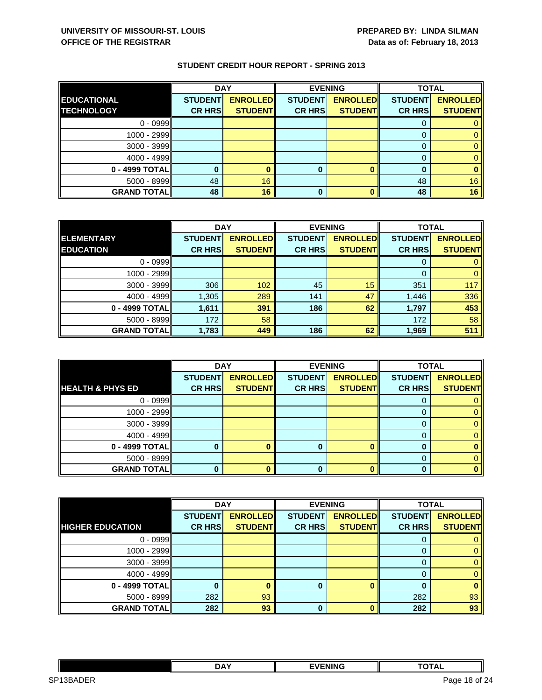|                    | <b>DAY</b>     |                 |                | <b>EVENING</b>  | <b>TOTAL</b>   |                 |
|--------------------|----------------|-----------------|----------------|-----------------|----------------|-----------------|
| <b>EDUCATIONAL</b> | <b>STUDENT</b> | <b>ENROLLED</b> | <b>STUDENT</b> | <b>ENROLLED</b> | <b>STUDENT</b> | <b>ENROLLED</b> |
| <b>TECHNOLOGY</b>  | <b>CR HRS</b>  | <b>STUDENT</b>  | <b>CR HRS</b>  | <b>STUDENT</b>  | <b>CR HRS</b>  | <b>STUDENT</b>  |
| $0 - 0999$         |                |                 |                |                 |                |                 |
| $1000 - 2999$      |                |                 |                |                 |                |                 |
| $3000 - 3999$      |                |                 |                |                 |                |                 |
| $4000 - 4999$      |                |                 |                |                 |                |                 |
| 0 - 4999 TOTAL     |                |                 | 0              |                 |                |                 |
| $5000 - 8999$      | 48             | 16              |                |                 | 48             | 16              |
| <b>GRAND TOTAL</b> | 48             | 16              | 0              |                 | 48             | 16              |

|                    | <b>DAY</b>     |                 | <b>EVENING</b> |                 | <b>TOTAL</b>   |                 |
|--------------------|----------------|-----------------|----------------|-----------------|----------------|-----------------|
| <b>ELEMENTARY</b>  | <b>STUDENT</b> | <b>ENROLLED</b> | <b>STUDENT</b> | <b>ENROLLED</b> | <b>STUDENT</b> | <b>ENROLLED</b> |
| <b>EDUCATION</b>   | <b>CR HRS</b>  | <b>STUDENT</b>  | <b>CR HRS</b>  | <b>STUDENT</b>  | <b>CR HRS</b>  | <b>STUDENT</b>  |
| $0 - 0999$         |                |                 |                |                 |                |                 |
| 1000 - 2999        |                |                 |                |                 | $\Omega$       |                 |
| $3000 - 3999$      | 306            | 102             | 45             | 15              | 351            | 117             |
| $4000 - 4999$      | 1,305          | 289             | 141            | 47              | 1,446          | 336             |
| 0 - 4999 TOTAL     | 1,611          | 391             | 186            | 62              | 1,797          | 453             |
| $5000 - 8999$      | 172            | 58              |                |                 | 172            | 58              |
| <b>GRAND TOTAL</b> | 1,783          | 449             | 186            | 62              | 1,969          | 511             |

|                             | <b>DAY</b>     |                 | <b>EVENING</b> |                 | <b>TOTAL</b>   |                 |
|-----------------------------|----------------|-----------------|----------------|-----------------|----------------|-----------------|
|                             | <b>STUDENT</b> | <b>ENROLLED</b> | <b>STUDENT</b> | <b>ENROLLED</b> | <b>STUDENT</b> | <b>ENROLLED</b> |
| <b>HEALTH &amp; PHYS ED</b> | <b>CR HRS</b>  | <b>STUDENT</b>  | <b>CR HRS</b>  | <b>STUDENT</b>  | <b>CR HRS</b>  | <b>STUDENT</b>  |
| $0 - 0999$                  |                |                 |                |                 | O              |                 |
| 1000 - 2999                 |                |                 |                |                 |                |                 |
| $3000 - 3999$               |                |                 |                |                 |                |                 |
| $4000 - 4999$               |                |                 |                |                 |                |                 |
| 0 - 4999 TOTAL              |                |                 |                |                 |                |                 |
| $5000 - 8999$               |                |                 |                |                 |                |                 |
| <b>GRAND TOTAL</b>          |                |                 | 0              |                 |                |                 |

|                         | <b>DAY</b>     |                 | <b>EVENING</b> |                 | <b>TOTAL</b>   |                 |
|-------------------------|----------------|-----------------|----------------|-----------------|----------------|-----------------|
|                         | <b>STUDENT</b> | <b>ENROLLED</b> | <b>STUDENT</b> | <b>ENROLLED</b> | <b>STUDENT</b> | <b>ENROLLED</b> |
| <b>HIGHER EDUCATION</b> | <b>CR HRS</b>  | <b>STUDENT</b>  | <b>CR HRS</b>  | <b>STUDENT</b>  | <b>CR HRS</b>  | <b>STUDENT</b>  |
| $0 - 0999$              |                |                 |                |                 |                |                 |
| 1000 - 2999             |                |                 |                |                 | 0              | 0               |
| $3000 - 3999$           |                |                 |                |                 | 0              | 0               |
| $4000 - 4999$           |                |                 |                |                 |                | 0               |
| 0 - 4999 TOTAL          |                |                 | 0              |                 |                | 0               |
| $5000 - 8999$           | 282            | 93              |                |                 | 282            | 93              |
| <b>GRAND TOTAL</b>      | 282            | 93              | $\bf{0}$       |                 | 282            | 93              |

|                                      | <b>DAY</b> | <b>EVENING</b> | $\cdots$<br><u>ль</u> |            |
|--------------------------------------|------------|----------------|-----------------------|------------|
| $- - -$<br>SP <sub>1</sub><br>⊰RAD⊢' |            |                | Page<br>- 10-<br>---  | of 24<br>- |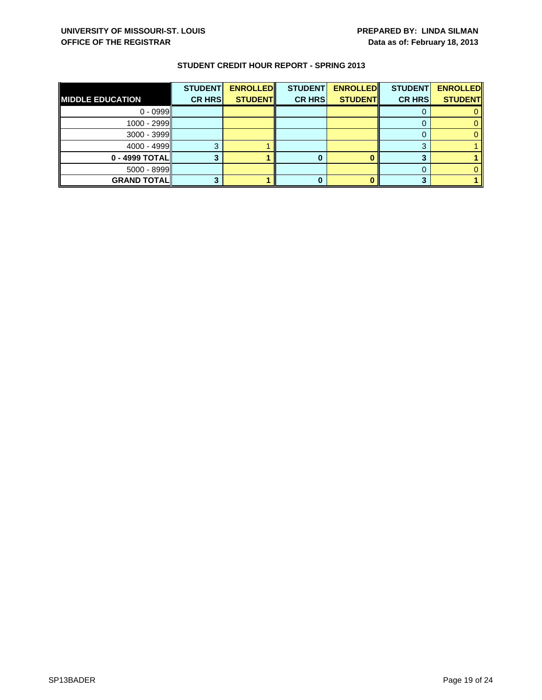| <b>CR HRS</b> | <b>STUDENT</b> |
|---------------|----------------|
|               |                |
|               |                |
|               |                |
|               |                |
|               |                |
|               |                |
|               |                |
|               |                |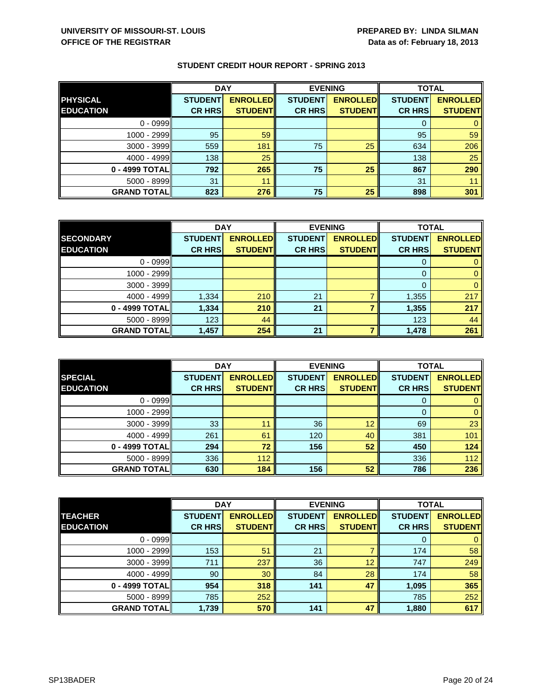|                    | <b>DAY</b>     |                 |                | <b>EVENING</b>  | <b>TOTAL</b>   |                 |
|--------------------|----------------|-----------------|----------------|-----------------|----------------|-----------------|
| <b>PHYSICAL</b>    | <b>STUDENT</b> | <b>ENROLLED</b> | <b>STUDENT</b> | <b>ENROLLED</b> | <b>STUDENT</b> | <b>ENROLLED</b> |
| <b>EDUCATION</b>   | <b>CR HRS</b>  | <b>STUDENTI</b> | <b>CR HRS</b>  | <b>STUDENT</b>  | <b>CR HRS</b>  | <b>STUDENT</b>  |
| $0 - 0999$         |                |                 |                |                 |                |                 |
| 1000 - 2999        | 95             | 59              |                |                 | 95             | 59              |
| 3000 - 3999        | 559            | 181             | 75             | 25              | 634            | 206             |
| $4000 - 4999$      | 138            | 25              |                |                 | 138            | 25              |
| 0 - 4999 TOTAL     | 792            | 265             | 75             | 25              | 867            | 290             |
| 5000 - 8999        | 31             | 11              |                |                 | 31             |                 |
| <b>GRAND TOTAL</b> | 823            | 276             | 75             | 25              | 898            | 301             |

|                    | <b>DAY</b>     |                 | <b>EVENING</b> |                 | <b>TOTAL</b>   |                 |
|--------------------|----------------|-----------------|----------------|-----------------|----------------|-----------------|
| <b>SECONDARY</b>   | <b>STUDENT</b> | <b>ENROLLED</b> | <b>STUDENT</b> | <b>ENROLLED</b> | <b>STUDENT</b> | <b>ENROLLED</b> |
| <b>EDUCATION</b>   | <b>CR HRS</b>  | <b>STUDENT</b>  | <b>CR HRS</b>  | <b>STUDENT</b>  | <b>CR HRS</b>  | <b>STUDENT</b>  |
| $0 - 0999$         |                |                 |                |                 |                |                 |
| 1000 - 2999        |                |                 |                |                 |                |                 |
| $3000 - 3999$      |                |                 |                |                 |                |                 |
| $4000 - 4999$      | 1,334          | 210             | 21             |                 | 1,355          | 217             |
| 0 - 4999 TOTAL     | 1,334          | 210             | 21             |                 | 1,355          | 217             |
| $5000 - 8999$      | 123            | 44              |                |                 | 123            | 44              |
| <b>GRAND TOTAL</b> | 1,457          | 254             | 21             |                 | 1,478          | 261             |

|                                    | <b>DAY</b>                      |                                   | <b>EVENING</b>                  |                                   | <b>TOTAL</b>                    |                                   |
|------------------------------------|---------------------------------|-----------------------------------|---------------------------------|-----------------------------------|---------------------------------|-----------------------------------|
| <b>SPECIAL</b><br><b>EDUCATION</b> | <b>STUDENT</b><br><b>CR HRS</b> | <b>ENROLLED</b><br><b>STUDENT</b> | <b>STUDENT</b><br><b>CR HRS</b> | <b>ENROLLED</b><br><b>STUDENT</b> | <b>STUDENT</b><br><b>CR HRS</b> | <b>ENROLLED</b><br><b>STUDENT</b> |
|                                    |                                 |                                   |                                 |                                   |                                 |                                   |
| $0 - 0999$                         |                                 |                                   |                                 |                                   | O                               |                                   |
| $1000 - 2999$                      |                                 |                                   |                                 |                                   |                                 |                                   |
| $3000 - 3999$                      | 33                              | 11                                | 36                              | 12                                | 69                              | 23                                |
| $4000 - 4999$                      | 261                             | 61                                | 120                             | 40                                | 381                             | 101                               |
| 0 - 4999 TOTAL                     | 294                             | 72                                | 156                             | 52                                | 450                             | 124                               |
| $5000 - 8999$                      | 336                             | 112                               |                                 |                                   | 336                             | 112                               |
| <b>GRAND TOTAL</b>                 | 630                             | 184                               | 156                             | 52                                | 786                             | 236                               |

|                    | <b>DAY</b>     |                 | <b>EVENING</b> |                 | <b>TOTAL</b>   |                 |
|--------------------|----------------|-----------------|----------------|-----------------|----------------|-----------------|
| <b>TEACHER</b>     | <b>STUDENT</b> | <b>ENROLLED</b> | <b>STUDENT</b> | <b>ENROLLED</b> | <b>STUDENT</b> | <b>ENROLLED</b> |
| <b>EDUCATION</b>   | <b>CR HRS</b>  | <b>STUDENT</b>  | <b>CR HRS</b>  | <b>STUDENT</b>  | <b>CR HRS</b>  | <b>STUDENT</b>  |
| $0 - 0999$         |                |                 |                |                 | 0              | $\mathbf{0}$    |
| 1000 - 2999        | 153            | 51              | 21             |                 | 174            | 58              |
| $3000 - 3999$      | 711            | 237             | 36             | 12              | 747            | 249             |
| $4000 - 4999$      | 90             | 30              | 84             | 28              | 174            | 58              |
| 0 - 4999 TOTAL     | 954            | 318             | 141            | 47              | 1,095          | 365             |
| $5000 - 8999$      | 785            | 252             |                |                 | 785            | 252             |
| <b>GRAND TOTAL</b> | 1,739          | 570             | 141            | 47              | 1,880          | 617             |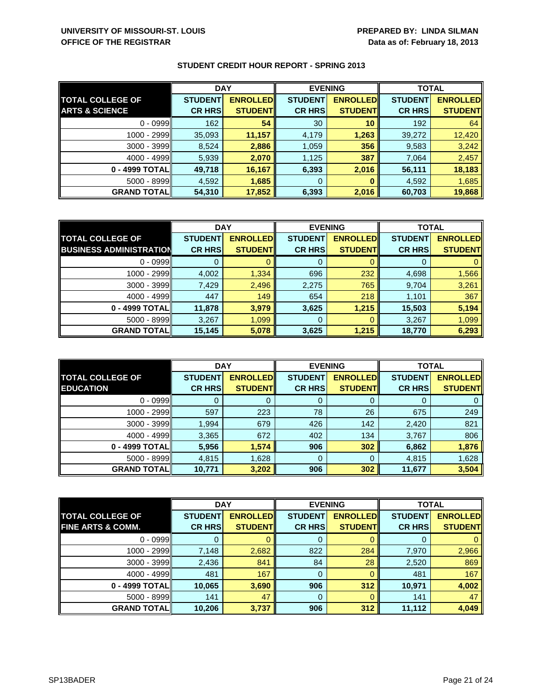|                           | <b>DAY</b>     |                 | <b>EVENING</b> |                 | <b>TOTAL</b>   |                 |
|---------------------------|----------------|-----------------|----------------|-----------------|----------------|-----------------|
| <b>TOTAL COLLEGE OF</b>   | <b>STUDENT</b> | <b>ENROLLED</b> | <b>STUDENT</b> | <b>ENROLLED</b> | <b>STUDENT</b> | <b>ENROLLED</b> |
| <b>ARTS &amp; SCIENCE</b> | <b>CR HRS</b>  | <b>STUDENT</b>  | <b>CR HRS</b>  | <b>STUDENT</b>  | <b>CR HRS</b>  | <b>STUDENT</b>  |
| $0 - 0999$                | 162            | 54              | 30             | 10              | 192            | 64              |
| $1000 - 2999$             | 35,093         | 11,157          | 4,179          | 1,263           | 39,272         | 12,420          |
| $3000 - 3999$             | 8,524          | 2,886           | 1,059          | 356             | 9,583          | 3,242           |
| $4000 - 4999$             | 5,939          | 2,070           | 1,125          | 387             | 7,064          | 2,457           |
| 0 - 4999 TOTALI           | 49,718         | 16,167          | 6,393          | 2,016           | 56,111         | 18,183          |
| $5000 - 8999$             | 4,592          | 1,685           | 0              |                 | 4,592          | 1,685           |
| <b>GRAND TOTAL</b>        | 54,310         | 17,852          | 6,393          | 2,016           | 60,703         | 19,868          |

|                                | <b>DAY</b>     |                 | <b>EVENING</b> |                 | <b>TOTAL</b>   |                 |
|--------------------------------|----------------|-----------------|----------------|-----------------|----------------|-----------------|
| <b>TOTAL COLLEGE OF</b>        | <b>STUDENT</b> | <b>ENROLLED</b> | <b>STUDENT</b> | <b>ENROLLED</b> | <b>STUDENT</b> | <b>ENROLLED</b> |
| <b>BUSINESS ADMINISTRATION</b> | <b>CR HRS</b>  | <b>STUDENT</b>  | <b>CR HRS</b>  | <b>STUDENT</b>  | <b>CR HRS</b>  | <b>STUDENT</b>  |
| $0 - 0999$                     |                |                 | 0              |                 |                |                 |
| $1000 - 2999$                  | 4,002          | 1,334           | 696            | 232             | 4,698          | 1,566           |
| $3000 - 3999$                  | 7,429          | 2,496           | 2,275          | 765             | 9,704          | 3,261           |
| $4000 - 4999$                  | 447            | 149             | 654            | 218             | 1,101          | 367             |
| 0 - 4999 TOTAL                 | 11,878         | 3,979           | 3,625          | 1,215           | 15,503         | 5,194           |
| 5000 - 8999                    | 3,267          | 1,099           | 0              |                 | 3,267          | 1,099           |
| <b>GRAND TOTAL</b>             | 15,145         | 5,078           | 3,625          | 1,215           | 18,770         | 6,293           |

|                                             | <b>DAY</b>                      |                                   |                                 | <b>EVENING</b>                    | <b>TOTAL</b>                    |                                   |
|---------------------------------------------|---------------------------------|-----------------------------------|---------------------------------|-----------------------------------|---------------------------------|-----------------------------------|
| <b>TOTAL COLLEGE OF</b><br><b>EDUCATION</b> | <b>STUDENT</b><br><b>CR HRS</b> | <b>ENROLLED</b><br><b>STUDENT</b> | <b>STUDENT</b><br><b>CR HRS</b> | <b>ENROLLED</b><br><b>STUDENT</b> | <b>STUDENT</b><br><b>CR HRS</b> | <b>ENROLLED</b><br><b>STUDENT</b> |
| $0 - 0999$                                  |                                 |                                   | 0                               |                                   | O                               | 0                                 |
| 1000 - 2999                                 | 597                             | 223                               | 78                              | 26                                | 675                             | 249                               |
| $3000 - 3999$                               | 1,994                           | 679                               | 426                             | 142                               | 2,420                           | 821                               |
| $4000 - 4999$                               | 3,365                           | 672                               | 402                             | 134                               | 3,767                           | 806                               |
| 0 - 4999 TOTAL                              | 5,956                           | 1,574                             | 906                             | 302                               | 6,862                           | 1,876                             |
| $5000 - 8999$                               | 4,815                           | 1,628                             | 0                               |                                   | 4,815                           | 1,628                             |
| <b>GRAND TOTALI</b>                         | 10,771                          | 3,202                             | 906                             | 302                               | 11,677                          | 3,504                             |

|                              | <b>DAY</b>     |                 | <b>EVENING</b> |                 | <b>TOTAL</b>   |                 |
|------------------------------|----------------|-----------------|----------------|-----------------|----------------|-----------------|
| <b>TOTAL COLLEGE OF</b>      | <b>STUDENT</b> | <b>ENROLLED</b> | <b>STUDENT</b> | <b>ENROLLED</b> | <b>STUDENT</b> | <b>ENROLLED</b> |
| <b>FINE ARTS &amp; COMM.</b> | <b>CR HRS</b>  | <b>STUDENT</b>  | <b>CR HRS</b>  | <b>STUDENT</b>  | <b>CR HRS</b>  | <b>STUDENT</b>  |
| $0 - 0999$                   |                |                 | 0              |                 |                | 0               |
| 1000 - 2999                  | 7,148          | 2,682           | 822            | 284             | 7,970          | 2,966           |
| $3000 - 3999$                | 2,436          | 841             | 84             | 28              | 2,520          | 869             |
| $4000 - 4999$                | 481            | 167             | 0              |                 | 481            | 167             |
| 0 - 4999 TOTAL               | 10,065         | 3,690           | 906            | 312             | 10,971         | 4,002           |
| $5000 - 8999$                | 141            | 47              | 0              |                 | 141            | 47              |
| <b>GRAND TOTAL</b>           | 10,206         | 3,737           | 906            | 312             | 11,112         | 4,049           |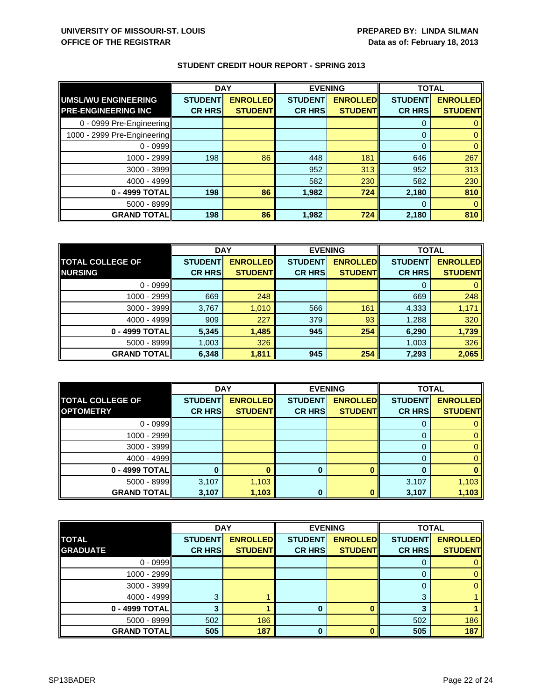|                             | <b>DAY</b>     |                 | <b>EVENING</b> |                 | <b>TOTAL</b>   |                 |
|-----------------------------|----------------|-----------------|----------------|-----------------|----------------|-----------------|
| UMSL/WU ENGINEERING         | <b>STUDENT</b> | <b>ENROLLED</b> | <b>STUDENT</b> | <b>ENROLLED</b> | <b>STUDENT</b> | <b>ENROLLED</b> |
| <b>PRE-ENGINEERING INC</b>  | <b>CR HRS</b>  | <b>STUDENT</b>  | <b>CR HRS</b>  | <b>STUDENT</b>  | <b>CR HRS</b>  | <b>STUDENT</b>  |
| 0 - 0999 Pre-Engineering    |                |                 |                |                 | $\Omega$       |                 |
| 1000 - 2999 Pre-Engineering |                |                 |                |                 | $\Omega$       | 0               |
| $0 - 0999$                  |                |                 |                |                 | $\Omega$       |                 |
| 1000 - 2999                 | 198            | 86              | 448            | 181             | 646            | 267             |
| $3000 - 3999$               |                |                 | 952            | 313             | 952            | 313             |
| $4000 - 4999$               |                |                 | 582            | 230             | 582            | 230             |
| 0 - 4999 TOTAL              | 198            | 86              | 1,982          | 724             | 2,180          | 810             |
| $5000 - 8999$               |                |                 |                |                 | 0              |                 |
| <b>GRAND TOTAL</b>          | 198            | 86              | 1,982          | 724             | 2,180          | 810             |

|                         | <b>DAY</b>     |                 |                | <b>EVENING</b>  |                | <b>TOTAL</b>    |  |
|-------------------------|----------------|-----------------|----------------|-----------------|----------------|-----------------|--|
| <b>TOTAL COLLEGE OF</b> | <b>STUDENT</b> | <b>ENROLLED</b> | <b>STUDENT</b> | <b>ENROLLED</b> | <b>STUDENT</b> | <b>ENROLLED</b> |  |
| <b>NURSING</b>          | <b>CR HRS</b>  | <b>STUDENT</b>  | <b>CR HRS</b>  | <b>STUDENT</b>  | <b>CR HRS</b>  | <b>STUDENT</b>  |  |
| $0 - 0999$              |                |                 |                |                 |                |                 |  |
| $1000 - 2999$           | 669            | 248             |                |                 | 669            | 248             |  |
| $3000 - 3999$           | 3,767          | 1,010           | 566            | 161             | 4,333          | 1,171           |  |
| $4000 - 4999$           | 909            | 227             | 379            | 93              | 1,288          | 320             |  |
| 0 - 4999 TOTAL          | 5,345          | 1,485           | 945            | 254             | 6,290          | 1,739           |  |
| $5000 - 8999$           | 1,003          | 326             |                |                 | 1,003          | 326             |  |
| <b>GRAND TOTALI</b>     | 6,348          | 1,811           | 945            | 254             | 7,293          | 2,065           |  |

|                         | <b>DAY</b>     |                 | <b>EVENING</b> |                 | <b>TOTAL</b>   |                 |
|-------------------------|----------------|-----------------|----------------|-----------------|----------------|-----------------|
| <b>TOTAL COLLEGE OF</b> | <b>STUDENT</b> | <b>ENROLLED</b> | <b>STUDENT</b> | <b>ENROLLED</b> | <b>STUDENT</b> | <b>ENROLLED</b> |
| <b>OPTOMETRY</b>        | <b>CR HRS</b>  | <b>STUDENT</b>  | <b>CR HRS</b>  | <b>STUDENT</b>  | <b>CR HRS</b>  | <b>STUDENT</b>  |
| $0 - 0999$              |                |                 |                |                 |                |                 |
| $1000 - 2999$           |                |                 |                |                 |                |                 |
| $3000 - 3999$           |                |                 |                |                 |                |                 |
| $4000 - 4999$           |                |                 |                |                 |                |                 |
| 0 - 4999 TOTAL          |                |                 | 0              |                 |                |                 |
| $5000 - 8999$           | 3,107          | 1,103           |                |                 | 3,107          | 1,103           |
| <b>GRAND TOTAL</b>      | 3,107          | 1,103           | 0              |                 | 3,107          | 1,103           |

|                    | <b>DAY</b>     |                 | <b>EVENING</b> |                 | <b>TOTAL</b>   |                 |
|--------------------|----------------|-----------------|----------------|-----------------|----------------|-----------------|
| <b>TOTAL</b>       | <b>STUDENT</b> | <b>ENROLLED</b> | <b>STUDENT</b> | <b>ENROLLED</b> | <b>STUDENT</b> | <b>ENROLLED</b> |
| <b>GRADUATE</b>    | <b>CR HRS</b>  | <b>STUDENT</b>  | <b>CR HRS</b>  | <b>STUDENT</b>  | <b>CR HRS</b>  | <b>STUDENT</b>  |
| $0 - 0999$         |                |                 |                |                 |                |                 |
| 1000 - 2999        |                |                 |                |                 |                |                 |
| 3000 - 3999        |                |                 |                |                 |                |                 |
| $4000 - 4999$      | ◠              |                 |                |                 | ◠              |                 |
| 0 - 4999 TOTAL     |                |                 | 0              |                 |                |                 |
| $5000 - 8999$      | 502            | 186             |                |                 | 502            | 186             |
| <b>GRAND TOTAL</b> | 505            | 187             | 0              |                 | 505            | 187             |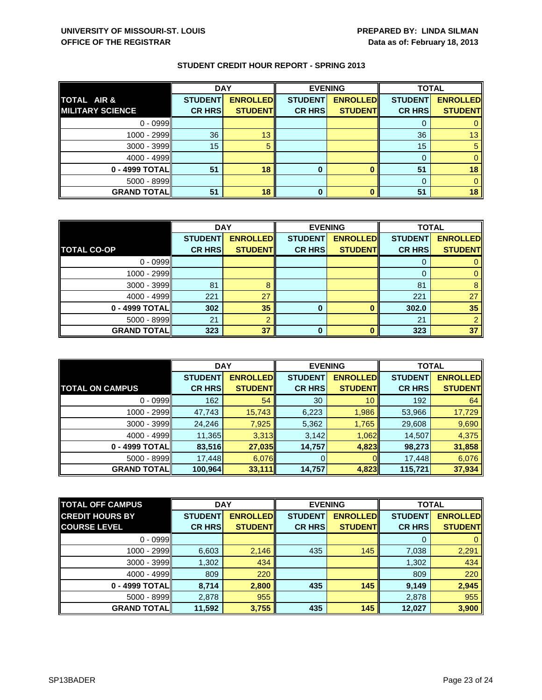|                         | <b>DAY</b>     |                 | <b>EVENING</b> |                 | <b>TOTAL</b>   |                 |
|-------------------------|----------------|-----------------|----------------|-----------------|----------------|-----------------|
| <b>TOTAL AIR &amp;</b>  | <b>STUDENT</b> | <b>ENROLLED</b> | <b>STUDENT</b> | <b>ENROLLED</b> | <b>STUDENT</b> | <b>ENROLLED</b> |
| <b>MILITARY SCIENCE</b> | <b>CR HRS</b>  | <b>STUDENT</b>  | <b>CR HRS</b>  | <b>STUDENT</b>  | <b>CR HRS</b>  | <b>STUDENT</b>  |
| $0 - 0999$              |                |                 |                |                 |                |                 |
| $1000 - 2999$           | 36             | 13              |                |                 | 36             | 13              |
| $3000 - 3999$           | 15             |                 |                |                 | 15             |                 |
| $4000 - 4999$           |                |                 |                |                 |                |                 |
| 0 - 4999 TOTAL          | 51             | 18              | 0              |                 | 51             | 18              |
| $5000 - 8999$           |                |                 |                |                 | 0              |                 |
| <b>GRAND TOTAL</b>      | 51             | 18              |                |                 | 51             | 18              |

|                    | <b>DAY</b>     |                 | <b>EVENING</b> |                  | <b>TOTAL</b>   |                 |
|--------------------|----------------|-----------------|----------------|------------------|----------------|-----------------|
|                    | <b>STUDENT</b> | <b>ENROLLED</b> | <b>STUDENT</b> | <b>ENROLLED</b>  | <b>STUDENT</b> | <b>ENROLLED</b> |
| <b>TOTAL CO-OP</b> | <b>CR HRS</b>  | <b>STUDENT</b>  | <b>CR HRS</b>  | <b>STUDENT</b>   | <b>CR HRS</b>  | <b>STUDENT</b>  |
| $0 - 0999$         |                |                 |                |                  |                |                 |
| 1000 - 2999        |                |                 |                |                  | $\Omega$       |                 |
| $3000 - 3999$      | 81             | 8               |                |                  | 81             | 8               |
| 4000 - 4999        | 221            | 27              |                |                  | 221            | 27              |
| 0 - 4999 TOTAL     | 302            | 35              | 0              | O                | 302.0          | 35              |
| 5000 - 8999        | 21             | $\Omega$        |                |                  | 21             |                 |
| <b>GRAND TOTAL</b> | 323            | 37              | ŋ              | $\mathbf \Omega$ | 323            | 37              |

|                        | <b>DAY</b>     |                 | <b>EVENING</b> |                 | <b>TOTAL</b>   |                 |
|------------------------|----------------|-----------------|----------------|-----------------|----------------|-----------------|
|                        | <b>STUDENT</b> | <b>ENROLLED</b> | <b>STUDENT</b> | <b>ENROLLED</b> | <b>STUDENT</b> | <b>ENROLLED</b> |
| <b>TOTAL ON CAMPUS</b> | <b>CR HRS</b>  | <b>STUDENT</b>  | <b>CR HRS</b>  | <b>STUDENTI</b> | <b>CR HRS</b>  | <b>STUDENT</b>  |
| $0 - 0999$             | 162            | 54              | 30             | 10              | 192            | 64              |
| 1000 - 2999            | 47,743         | 15,743          | 6,223          | 1,986           | 53,966         | 17,729          |
| $3000 - 3999$          | 24,246         | 7,925           | 5,362          | 1,765           | 29,608         | 9,690           |
| $4000 - 4999$          | 11,365         | 3,313           | 3,142          | 1,062           | 14,507         | 4,375           |
| 0 - 4999 TOTALI        | 83,516         | 27,035          | 14,757         | 4,823           | 98,273         | 31,858          |
| $5000 - 8999$          | 17,448         | 6,076           |                |                 | 17,448         | 6,076           |
| <b>GRAND TOTALI</b>    | 100,964        | 33,111          | 14,757         | 4,823           | 115,721        | 37,934          |

| <b>TOTAL OFF CAMPUS</b> | <b>DAY</b>     |                  |                | <b>EVENING</b>  |                | <b>TOTAL</b>    |
|-------------------------|----------------|------------------|----------------|-----------------|----------------|-----------------|
| <b>CREDIT HOURS BY</b>  | <b>STUDENT</b> | <b>ENROLLEDI</b> | <b>STUDENT</b> | <b>ENROLLED</b> | <b>STUDENT</b> | <b>ENROLLED</b> |
| <b>COURSE LEVEL</b>     | <b>CR HRS</b>  | <b>STUDENT</b>   | <b>CR HRS</b>  | <b>STUDENT</b>  | <b>CR HRS</b>  | <b>STUDENT</b>  |
| $0 - 0999$              |                |                  |                |                 | 0              | $\mathbf{0}$    |
| 1000 - 2999             | 6,603          | 2,146            | 435            | 145             | 7,038          | 2,291           |
| $3000 - 3999$           | 1,302          | 434              |                |                 | 1,302          | 434             |
| $4000 - 4999$           | 809            | 220              |                |                 | 809            | 220             |
| 0 - 4999 TOTAL          | 8,714          | 2,800            | 435            | 145             | 9,149          | 2,945           |
| $5000 - 8999$           | 2,878          | 955              |                |                 | 2,878          | 955             |
| <b>GRAND TOTAL</b>      | 11,592         | 3,755            | 435            | 145             | 12,027         | 3,900           |